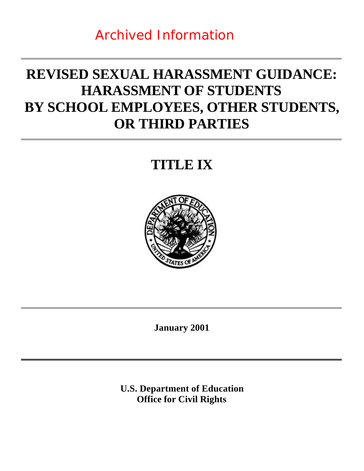# Archived Information

# **REVISED SEXUAL HARASSMENT GUIDANCE: HARASSMENT OF STUDENTS BY SCHOOL EMPLOYEES, OTHER STUDENTS, OR THIRD PARTIES**

# **TITLE IX**



**January 2001**

**U.S. Department of Education Office for Civil Rights**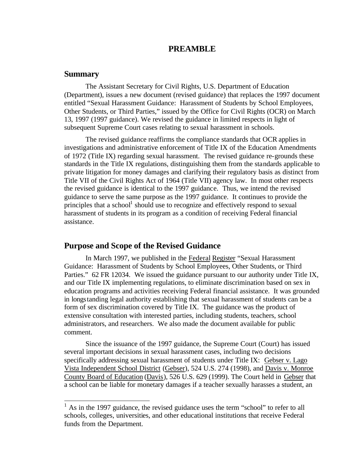## **PREAMBLE**

#### **Summary**

l

The Assistant Secretary for Civil Rights, U.S. Department of Education (Department), issues a new document (revised guidance) that replaces the 1997 document entitled "Sexual Harassment Guidance: Harassment of Students by School Employees, Other Students, or Third Parties," issued by the Office for Civil Rights (OCR) on March 13, 1997 (1997 guidance). We revised the guidance in limited respects in light of subsequent Supreme Court cases relating to sexual harassment in schools.

The revised guidance reaffirms the compliance standards that OCR applies in investigations and administrative enforcement of Title IX of the Education Amendments of 1972 (Title IX) regarding sexual harassment. The revised guidance re-grounds these standards in the Title IX regulations, distinguishing them from the standards applicable to private litigation for money damages and clarifying their regulatory basis as distinct from Title VII of the Civil Rights Act of 1964 (Title VII) agency law. In most other respects the revised guidance is identical to the 1997 guidance. Thus, we intend the revised guidance to serve the same purpose as the 1997 guidance. It continues to provide the principles that a school<sup>1</sup> should use to recognize and effectively respond to sexual harassment of students in its program as a condition of receiving Federal financial assistance.

### **Purpose and Scope of the Revised Guidance**

In March 1997, we published in the Federal Register "Sexual Harassment Guidance: Harassment of Students by School Employees, Other Students, or Third Parties." 62 FR 12034. We issued the guidance pursuant to our authority under Title IX, and our Title IX implementing regulations, to eliminate discrimination based on sex in education programs and activities receiving Federal financial assistance. It was grounded in longstanding legal authority establishing that sexual harassment of students can be a form of sex discrimination covered by Title IX. The guidance was the product of extensive consultation with interested parties, including students, teachers, school administrators, and researchers. We also made the document available for public comment.

Since the issuance of the 1997 guidance, the Supreme Court (Court) has issued several important decisions in sexual harassment cases, including two decisions specifically addressing sexual harassment of students under Title IX: Gebser v. Lago Vista Independent School District (Gebser), 524 U.S. 274 (1998), and Davis v. Monroe County Board of Education (Davis), 526 U.S. 629 (1999). The Court held in Gebser that a school can be liable for monetary damages if a teacher sexually harasses a student, an

 $<sup>1</sup>$  As in the 1997 guidance, the revised guidance uses the term "school" to refer to all</sup> schools, colleges, universities, and other educational institutions that receive Federal funds from the Department.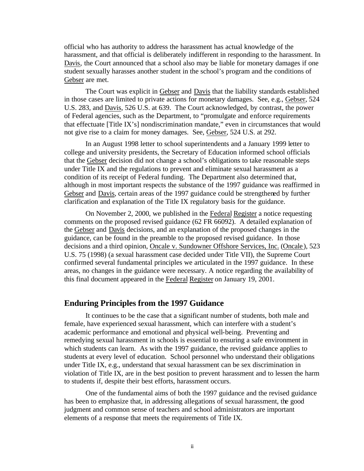official who has authority to address the harassment has actual knowledge of the harassment, and that official is deliberately indifferent in responding to the harassment. In Davis, the Court announced that a school also may be liable for monetary damages if one student sexually harasses another student in the school's program and the conditions of Gebser are met.

The Court was explicit in Gebser and Davis that the liability standards established in those cases are limited to private actions for monetary damages. See, e.g., Gebser, 524 U.S. 283, and Davis, 526 U.S. at 639. The Court acknowledged, by contrast, the power of Federal agencies, such as the Department, to "promulgate and enforce requirements that effectuate [Title IX's] nondiscrimination mandate," even in circumstances that would not give rise to a claim for money damages. See, Gebser, 524 U.S. at 292.

In an August 1998 letter to school superintendents and a January 1999 letter to college and university presidents, the Secretary of Education informed school officials that the Gebser decision did not change a school's obligations to take reasonable steps under Title IX and the regulations to prevent and eliminate sexual harassment as a condition of its receipt of Federal funding. The Department also determined that, although in most important respects the substance of the 1997 guidance was reaffirmed in Gebser and Davis, certain areas of the 1997 guidance could be strengthened by further clarification and explanation of the Title IX regulatory basis for the guidance.

On November 2, 2000, we published in the Federal Register a notice requesting comments on the proposed revised guidance (62 FR 66092). A detailed explanation of the Gebser and Davis decisions, and an explanation of the proposed changes in the guidance, can be found in the preamble to the proposed revised guidance. In those decisions and a third opinion, Oncale v. Sundowner Offshore Services, Inc. (Oncale ), 523 U.S. 75 (1998) (a sexual harassment case decided under Title VII), the Supreme Court confirmed several fundamental principles we articulated in the 1997 guidance. In these areas, no changes in the guidance were necessary. A notice regarding the availability of this final document appeared in the Federal Register on January 19, 2001.

#### **Enduring Principles from the 1997 Guidance**

It continues to be the case that a significant number of students, both male and female, have experienced sexual harassment, which can interfere with a student's academic performance and emotional and physical well-being. Preventing and remedying sexual harassment in schools is essential to ensuring a safe environment in which students can learn. As with the 1997 guidance, the revised guidance applies to students at every level of education. School personnel who understand their obligations under Title IX, e.g., understand that sexual harassment can be sex discrimination in violation of Title IX, are in the best position to prevent harassment and to lessen the harm to students if, despite their best efforts, harassment occurs.

One of the fundamental aims of both the 1997 guidance and the revised guidance has been to emphasize that, in addressing allegations of sexual harassment, the good judgment and common sense of teachers and school administrators are important elements of a response that meets the requirements of Title IX.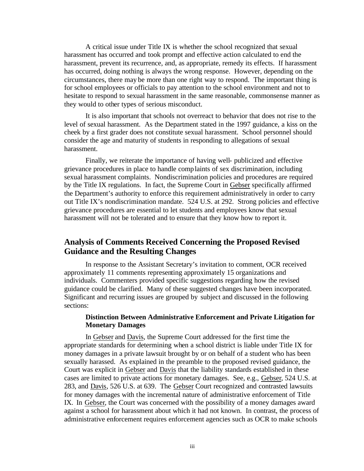A critical issue under Title IX is whether the school recognized that sexual harassment has occurred and took prompt and effective action calculated to end the harassment, prevent its recurrence, and, as appropriate, remedy its effects. If harassment has occurred, doing nothing is always the wrong response. However, depending on the circumstances, there may be more than one right way to respond. The important thing is for school employees or officials to pay attention to the school environment and not to hesitate to respond to sexual harassment in the same reasonable, commonsense manner as they would to other types of serious misconduct.

It is also important that schools not overreact to behavior that does not rise to the level of sexual harassment. As the Department stated in the 1997 guidance, a kiss on the cheek by a first grader does not constitute sexual harassment. School personnel should consider the age and maturity of students in responding to allegations of sexual harassment.

Finally, we reiterate the importance of having well- publicized and effective grievance procedures in place to handle complaints of sex discrimination, including sexual harassment complaints. Nondiscrimination policies and procedures are required by the Title IX regulations. In fact, the Supreme Court in Gebser specifically affirmed the Department's authority to enforce this requirement administratively in order to carry out Title IX's nondiscrimination mandate. 524 U.S. at 292. Strong policies and effective grievance procedures are essential to let students and employees know that sexual harassment will not be tolerated and to ensure that they know how to report it.

# **Analysis of Comments Received Concerning the Proposed Revised Guidance and the Resulting Changes**

In response to the Assistant Secretary's invitation to comment, OCR received approximately 11 comments representing approximately 15 organizations and individuals. Commenters provided specific suggestions regarding how the revised guidance could be clarified. Many of these suggested changes have been incorporated. Significant and recurring issues are grouped by subject and discussed in the following sections:

#### **Distinction Between Administrative Enforcement and Private Litigation for Monetary Damages**

In Gebser and Davis, the Supreme Court addressed for the first time the appropriate standards for determining when a school district is liable under Title IX for money damages in a private lawsuit brought by or on behalf of a student who has been sexually harassed. As explained in the preamble to the proposed revised guidance, the Court was explicit in Gebser and Davis that the liability standards established in these cases are limited to private actions for monetary damages. See, e.g., Gebser, 524 U.S. at 283, and Davis, 526 U.S. at 639. The Gebser Court recognized and contrasted lawsuits for money damages with the incremental nature of administrative enforcement of Title IX. In Gebser, the Court was concerned with the possibility of a money damages award against a school for harassment about which it had not known. In contrast, the process of administrative enforcement requires enforcement agencies such as OCR to make schools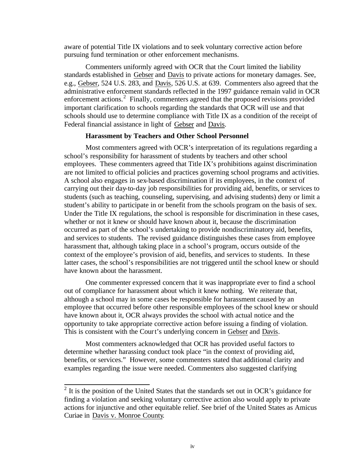aware of potential Title IX violations and to seek voluntary corrective action before pursuing fund termination or other enforcement mechanisms.

Commenters uniformly agreed with OCR that the Court limited the liability standards established in Gebser and Davis to private actions for monetary damages. See, e.g., Gebser, 524 U.S. 283, and Davis, 526 U.S. at 639. Commenters also agreed that the administrative enforcement standards reflected in the 1997 guidance remain valid in OCR enforcement actions.<sup>2</sup> Finally, commenters agreed that the proposed revisions provided important clarification to schools regarding the standards that OCR will use and that schools should use to determine compliance with Title IX as a condition of the receipt of Federal financial assistance in light of Gebser and Davis.

### **Harassment by Teachers and Other School Personnel**

Most commenters agreed with OCR's interpretation of its regulations regarding a school's responsibility for harassment of students by teachers and other school employees. These commenters agreed that Title IX's prohibitions against discrimination are not limited to official policies and practices governing school programs and activities. A school also engages in sex-based discrimination if its employees, in the context of carrying out their day-to-day job responsibilities for providing aid, benefits, or services to students (such as teaching, counseling, supervising, and advising students) deny or limit a student's ability to participate in or benefit from the schools program on the basis of sex. Under the Title IX regulations, the school is responsible for discrimination in these cases, whether or not it knew or should have known about it, because the discrimination occurred as part of the school's undertaking to provide nondiscriminatory aid, benefits, and services to students. The revised guidance distinguishes these cases from employee harassment that, although taking place in a school's program, occurs outside of the context of the employee's provision of aid, benefits, and services to students. In these latter cases, the school's responsibilities are not triggered until the school knew or should have known about the harassment.

One commenter expressed concern that it was inappropriate ever to find a school out of compliance for harassment about which it knew nothing. We reiterate that, although a school may in some cases be responsible for harassment caused by an employee that occurred before other responsible employees of the school knew or should have known about it, OCR always provides the school with actual notice and the opportunity to take appropriate corrective action before issuing a finding of violation. This is consistent with the Court's underlying concern in Gebser and Davis.

Most commenters acknowledged that OCR has provided useful factors to determine whether harassing conduct took place "in the context of providing aid, benefits, or services." However, some commenters stated that additional clarity and examples regarding the issue were needed. Commenters also suggested clarifying

<sup>&</sup>lt;sup>2</sup> It is the position of the United States that the standards set out in OCR's guidance for finding a violation and seeking voluntary corrective action also would apply to private actions for injunctive and other equitable relief. See brief of the United States as Amicus Curiae in Davis v. Monroe County.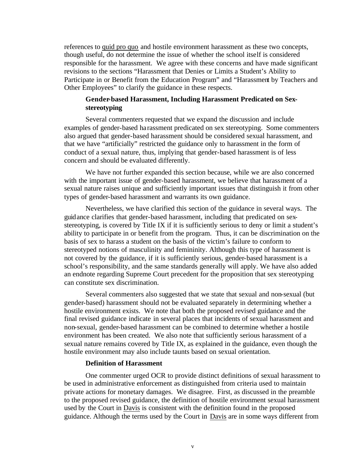references to quid pro quo and hostile environment harassment as these two concepts, though useful, do not determine the issue of whether the school itself is considered responsible for the harassment. We agree with these concerns and have made significant revisions to the sections "Harassment that Denies or Limits a Student's Ability to Participate in or Benefit from the Education Program" and "Harassment by Teachers and Other Employees" to clarify the guidance in these respects.

## **Gender-based Harassment, Including Harassment Predicated on Sexstereotyping**

Several commenters requested that we expand the discussion and include examples of gender-based harassment predicated on sex stereotyping. Some commenters also argued that gender-based harassment should be considered sexual harassment, and that we have "artificially" restricted the guidance only to harassment in the form of conduct of a sexual nature, thus, implying that gender-based harassment is of less concern and should be evaluated differently.

We have not further expanded this section because, while we are also concerned with the important issue of gender-based harassment, we believe that harassment of a sexual nature raises unique and sufficiently important issues that distinguish it from other types of gender-based harassment and warrants its own guidance.

Nevertheless, we have clarified this section of the guidance in several ways. The guidance clarifies that gender-based harassment, including that predicated on sexstereotyping, is covered by Title IX if it is sufficiently serious to deny or limit a student's ability to participate in or benefit from the program. Thus, it can be discrimination on the basis of sex to harass a student on the basis of the victim's failure to conform to stereotyped notions of masculinity and femininity. Although this type of harassment is not covered by the guidance, if it is sufficiently serious, gender-based harassment is a school's responsibility, and the same standards generally will apply. We have also added an endnote regarding Supreme Court precedent for the proposition that sex stereotyping can constitute sex discrimination.

Several commenters also suggested that we state that sexual and non-sexual (but gender-based) harassment should not be evaluated separately in determining whether a hostile environment exists. We note that both the proposed revised guidance and the final revised guidance indicate in several places that incidents of sexual harassment and non-sexual, gender-based harassment can be combined to determine whether a hostile environment has been created. We also note that sufficiently serious harassment of a sexual nature remains covered by Title IX, as explained in the guidance, even though the hostile environment may also include taunts based on sexual orientation.

# **Definition of Harassment**

One commenter urged OCR to provide distinct definitions of sexual harassment to be used in administrative enforcement as distinguished from criteria used to maintain private actions for monetary damages. We disagree. First, as discussed in the preamble to the proposed revised guidance, the definition of hostile environment sexual harassment used by the Court in Davis is consistent with the definition found in the proposed guidance. Although the terms used by the Court in Davis are in some ways different from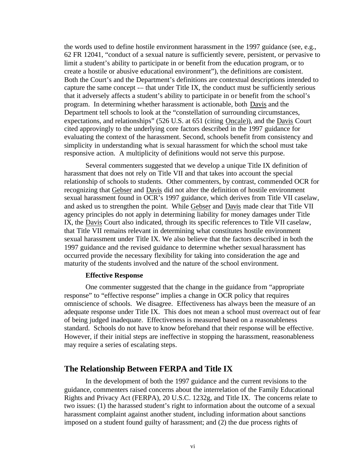the words used to define hostile environment harassment in the 1997 guidance (see, e.g., 62 FR 12041, "conduct of a sexual nature is sufficiently severe, persistent, or pervasive to limit a student's ability to participate in or benefit from the education program, or to create a hostile or abusive educational environment"), the definitions are consistent. Both the Court's and the Department's definitions are contextual descriptions intended to capture the same concept -– that under Title IX, the conduct must be sufficiently serious that it adversely affects a student's ability to participate in or benefit from the school's program. In determining whether harassment is actionable, both Davis and the Department tell schools to look at the "constellation of surrounding circumstances, expectations, and relationships" (526 U.S. at 651 (citing Oncale)), and the Davis Court cited approvingly to the underlying core factors described in the 1997 guidance for evaluating the context of the harassment. Second, schools benefit from consistency and simplicity in understanding what is sexual harassment for which the school must take responsive action. A multiplicity of definitions would not serve this purpose.

Several commenters suggested that we develop a unique Title IX definition of harassment that does not rely on Title VII and that takes into account the special relationship of schools to students. Other commenters, by contrast, commended OCR for recognizing that Gebser and Davis did not alter the definition of hostile environment sexual harassment found in OCR's 1997 guidance, which derives from Title VII caselaw, and asked us to strengthen the point. While Gebser and Davis made clear that Title VII agency principles do not apply in determining liability for money damages under Title IX, the Davis Court also indicated, through its specific references to Title VII caselaw, that Title VII remains relevant in determining what constitutes hostile environment sexual harassment under Title IX. We also believe that the factors described in both the 1997 guidance and the revised guidance to determine whether sexual harassment has occurred provide the necessary flexibility for taking into consideration the age and maturity of the students involved and the nature of the school environment.

#### **Effective Response**

One commenter suggested that the change in the guidance from "appropriate response" to "effective response" implies a change in OCR policy that requires omniscience of schools. We disagree. Effectiveness has always been the measure of an adequate response under Title IX. This does not mean a school must overreact out of fear of being judged inadequate. Effectiveness is measured based on a reasonableness standard. Schools do not have to know beforehand that their response will be effective. However, if their initial steps are ineffective in stopping the harassment, reasonableness may require a series of escalating steps.

### **The Relationship Between FERPA and Title IX**

In the development of both the 1997 guidance and the current revisions to the guidance, commenters raised concerns about the interrelation of the Family Educational Rights and Privacy Act (FERPA), 20 U.S.C. 1232g, and Title IX. The concerns relate to two issues: (1) the harassed student's right to information about the outcome of a sexual harassment complaint against another student, including information about sanctions imposed on a student found guilty of harassment; and (2) the due process rights of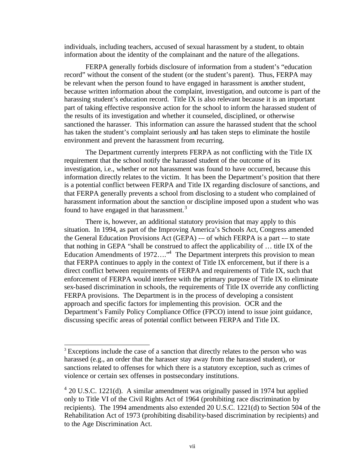individuals, including teachers, accused of sexual harassment by a student, to obtain information about the identity of the complainant and the nature of the allegations.

FERPA generally forbids disclosure of information from a student's "education record" without the consent of the student (or the student's parent). Thus, FERPA may be relevant when the person found to have engaged in harassment is another student, because written information about the complaint, investigation, and outcome is part of the harassing student's education record. Title IX is also relevant because it is an important part of taking effective responsive action for the school to inform the harassed student of the results of its investigation and whether it counseled, disciplined, or otherwise sanctioned the harasser. This information can assure the harassed student that the school has taken the student's complaint seriously and has taken steps to eliminate the hostile environment and prevent the harassment from recurring.

The Department currently interprets FERPA as not conflicting with the Title IX requirement that the school notify the harassed student of the outcome of its investigation, i.e., whether or not harassment was found to have occurred, because this information directly relates to the victim. It has been the Department's position that there is a potential conflict between FERPA and Title IX regarding disclosure of sanctions, and that FERPA generally prevents a school from disclosing to a student who complained of harassment information about the sanction or discipline imposed upon a student who was found to have engaged in that harassment. $3$ 

There is, however, an additional statutory provision that may apply to this situation. In 1994, as part of the Improving America's Schools Act, Congress amended the General Education Provisions Act (GEPA) -– of which FERPA is a part -– to state that nothing in GEPA "shall be construed to affect the applicability of … title IX of the Education Amendments of  $1972...$ <sup>4</sup> The Department interprets this provision to mean that FERPA continues to apply in the context of Title IX enforcement, but if there is a direct conflict between requirements of FERPA and requirements of Title IX, such that enforcement of FERPA would interfere with the primary purpose of Title IX to eliminate sex-based discrimination in schools, the requirements of Title IX override any conflicting FERPA provisions. The Department is in the process of developing a consistent approach and specific factors for implementing this provision. OCR and the Department's Family Policy Compliance Office (FPCO) intend to issue joint guidance, discussing specific areas of potential conflict between FERPA and Title IX.

l

<sup>&</sup>lt;sup>3</sup> Exceptions include the case of a sanction that directly relates to the person who was harassed (e.g., an order that the harasser stay away from the harassed student), or sanctions related to offenses for which there is a statutory exception, such as crimes of violence or certain sex offenses in postsecondary institutions.

 $420$  U.S.C. 1221(d). A similar amendment was originally passed in 1974 but applied only to Title VI of the Civil Rights Act of 1964 (prohibiting race discrimination by recipients). The 1994 amendments also extended 20 U.S.C. 1221(d) to Section 504 of the Rehabilitation Act of 1973 (prohibiting disability-based discrimination by recipients) and to the Age Discrimination Act.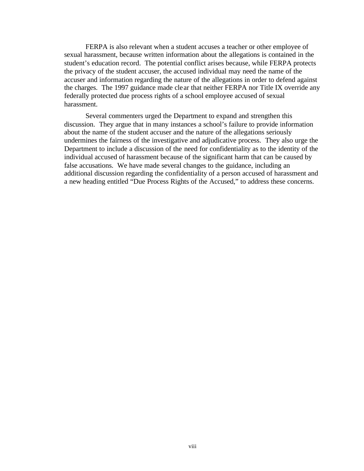FERPA is also relevant when a student accuses a teacher or other employee of sexual harassment, because written information about the allegations is contained in the student's education record. The potential conflict arises because, while FERPA protects the privacy of the student accuser, the accused individual may need the name of the accuser and information regarding the nature of the allegations in order to defend against the charges. The 1997 guidance made cle ar that neither FERPA nor Title IX override any federally protected due process rights of a school employee accused of sexual harassment.

Several commenters urged the Department to expand and strengthen this discussion. They argue that in many instances a school's failure to provide information about the name of the student accuser and the nature of the allegations seriously undermines the fairness of the investigative and adjudicative process. They also urge the Department to include a discussion of the need for confidentiality as to the identity of the individual accused of harassment because of the significant harm that can be caused by false accusations. We have made several changes to the guidance, including an additional discussion regarding the confidentiality of a person accused of harassment and a new heading entitled "Due Process Rights of the Accused," to address these concerns.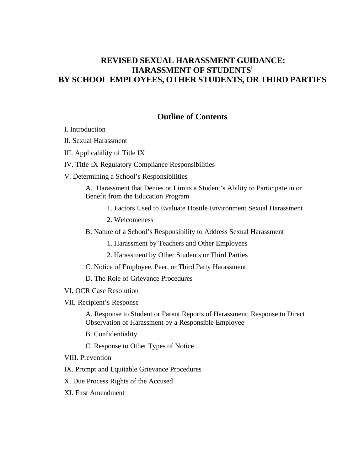# **REVISED SEXUAL HARASSMENT GUIDANCE: HARASSMENT OF STUDENTS<sup>1</sup> BY SCHOOL EMPLOYEES, OTHER STUDENTS, OR THIRD PARTIES**

# **Outline of Contents**

- I. Introduction
- II. Sexual Harassment
- III. Applicability of Title IX
- IV. Title IX Regulatory Compliance Responsibilities
- V. Determining a School's Responsibilities

A. Harassment that Denies or Limits a Student's Ability to Participate in or Benefit from the Education Program

- 1. Factors Used to Evaluate Hostile Environment Sexual Harassment
- 2. Welcomeness
- B. Nature of a School's Responsibility to Address Sexual Harassment
	- 1. Harassment by Teachers and Other Employees
	- 2. Harassment by Other Students or Third Parties
- C. Notice of Employee, Peer, or Third Party Harassment
- D. The Role of Grievance Procedures
- VI. OCR Case Resolution
- VII. Recipient's Response

A. Response to Student or Parent Reports of Harassment; Response to Direct Observation of Harassment by a Responsible Employee

- B. Confidentiality
- C. Response to Other Types of Notice
- VIII. Prevention
- IX. Prompt and Equitable Grievance Procedures
- X. Due Process Rights of the Accused
- XI. First Amendment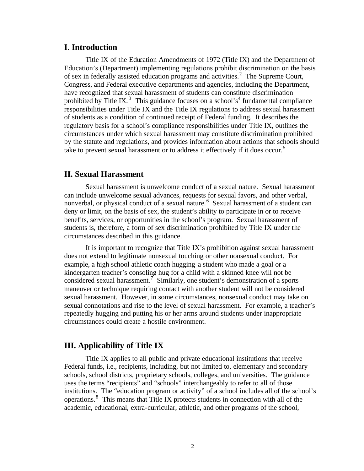# **I. Introduction**

Title IX of the Education Amendments of 1972 (Title IX) and the Department of Education's (Department) implementing regulations prohibit discrimination on the basis of sex in federally assisted education programs and activities.<sup>2</sup> The Supreme Court, Congress, and Federal executive departments and agencies, including the Department, have recognized that sexual harassment of students can constitute discrimination prohibited by Title IX.<sup>3</sup> This guidance focuses on a school's<sup>4</sup> fundamental compliance responsibilities under Title IX and the Title IX regulations to address sexual harassment of students as a condition of continued receipt of Federal funding. It describes the regulatory basis for a school's compliance responsibilities under Title IX, outlines the circumstances under which sexual harassment may constitute discrimination prohibited by the statute and regulations, and provides information about actions that schools should take to prevent sexual harassment or to address it effectively if it does occur.<sup>5</sup>

# **II. Sexual Harassment**

Sexual harassment is unwelcome conduct of a sexual nature. Sexual harassment can include unwelcome sexual advances, requests for sexual favors, and other verbal, nonverbal, or physical conduct of a sexual nature.<sup>6</sup> Sexual harassment of a student can deny or limit, on the basis of sex, the student's ability to participate in or to receive benefits, services, or opportunities in the school's program. Sexual harassment of students is, therefore, a form of sex discrimination prohibited by Title IX under the circumstances described in this guidance.

It is important to recognize that Title IX's prohibition against sexual harassment does not extend to legitimate nonsexual touching or other nonsexual conduct. For example, a high school athletic coach hugging a student who made a goal or a kindergarten teacher's consoling hug for a child with a skinned knee will not be considered sexual harassment.<sup>7</sup> Similarly, one student's demonstration of a sports maneuver or technique requiring contact with another student will not be considered sexual harassment. However, in some circumstances, nonsexual conduct may take on sexual connotations and rise to the level of sexual harassment. For example, a teacher's repeatedly hugging and putting his or her arms around students under inappropriate circumstances could create a hostile environment.

# **III. Applicability of Title IX**

Title IX applies to all public and private educational institutions that receive Federal funds, i.e., recipients, including, but not limited to, elementary and secondary schools, school districts, proprietary schools, colleges, and universities. The guidance uses the terms "recipients" and "schools" interchangeably to refer to all of those institutions. The "education program or activity" of a school includes all of the school's operations.<sup>8</sup> This means that Title IX protects students in connection with all of the academic, educational, extra-curricular, athletic, and other programs of the school,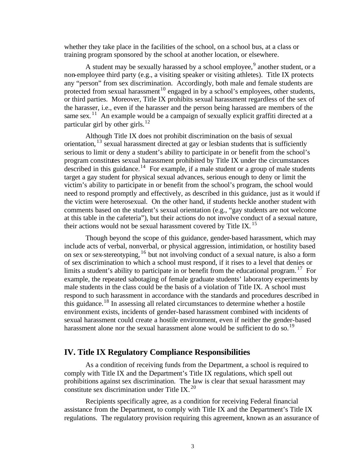whether they take place in the facilities of the school, on a school bus, at a class or training program sponsored by the school at another location, or elsewhere.

A student may be sexually harassed by a school employee,<sup>9</sup> another student, or a non-employee third party (e.g., a visiting speaker or visiting athletes). Title IX protects any "person" from sex discrimination. Accordingly, both male and female students are protected from sexual harassment<sup>10</sup> engaged in by a school's employees, other students, or third parties. Moreover, Title IX prohibits sexual harassment regardless of the sex of the harasser, i.e., even if the harasser and the person being harassed are members of the same sex.  $11$  An example would be a campaign of sexually explicit graffiti directed at a particular girl by other girls.<sup>12</sup>

Although Title IX does not prohibit discrimination on the basis of sexual orientation,  $^{13}$  sexual harassment directed at gay or lesbian students that is sufficiently serious to limit or deny a student's ability to participate in or benefit from the school's program constitutes sexual harassment prohibited by Title IX under the circumstances described in this guidance.<sup>14</sup> For example, if a male student or a group of male students target a gay student for physical sexual advances, serious enough to deny or limit the victim's ability to participate in or benefit from the school's program, the school would need to respond promptly and effectively, as described in this guidance, just as it would if the victim were heterosexual. On the other hand, if students heckle another student with comments based on the student's sexual orientation (e.g., "gay students are not welcome at this table in the cafeteria"), but their actions do not involve conduct of a sexual nature, their actions would not be sexual harassment covered by Title IX.<sup>15</sup>

Though beyond the scope of this guidance, gender-based harassment, which may include acts of verbal, nonverbal, or physical aggression, intimidation, or hostility based on sex or sex-stereotyping, <sup>16</sup> but not involving conduct of a sexual nature, is also a form of sex discrimination to which a school must respond, if it rises to a level that denies or limits a student's ability to participate in or benefit from the educational program.<sup>17</sup> For example, the repeated sabotaging of female graduate students' laboratory experiments by male students in the class could be the basis of a violation of Title IX. A school must respond to such harassment in accordance with the standards and procedures described in this guidance.<sup>18</sup> In assessing all related circumstances to determine whether a hostile environment exists, incidents of gender-based harassment combined with incidents of sexual harassment could create a hostile environment, even if neither the gender-based harassment alone nor the sexual harassment alone would be sufficient to do so.<sup>19</sup>

# **IV. Title IX Regulatory Compliance Responsibilities**

As a condition of receiving funds from the Department, a school is required to comply with Title IX and the Department's Title IX regulations, which spell out prohibitions against sex discrimination. The law is clear that sexual harassment may constitute sex discrimination under Title IX. <sup>20</sup>

Recipients specifically agree, as a condition for receiving Federal financial assistance from the Department, to comply with Title IX and the Department's Title IX regulations. The regulatory provision requiring this agreement, known as an assurance of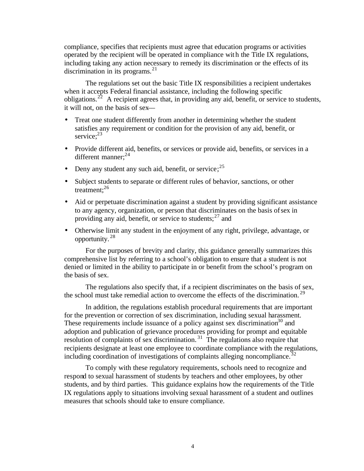compliance, specifies that recipients must agree that education programs or activities operated by the recipient will be operated in compliance with the Title IX regulations, including taking any action necessary to remedy its discrimination or the effects of its discrimination in its programs. $2<sup>1</sup>$ 

The regulations set out the basic Title IX responsibilities a recipient undertakes when it accepts Federal financial assistance, including the following specific obligations.<sup>22</sup> A recipient agrees that, in providing any aid, benefit, or service to students, it will not, on the basis of sex––

- Treat one student differently from another in determining whether the student satisfies any requirement or condition for the provision of any aid, benefit, or service: $23$
- Provide different aid, benefits, or services or provide aid, benefits, or services in a different manner: $^{24}$
- Deny any student any such aid, benefit, or service;  $2^5$
- Subject students to separate or different rules of behavior, sanctions, or other treatment:<sup>26</sup>
- Aid or perpetuate discrimination against a student by providing significant assistance to any agency, organization, or person that discriminates on the basis of sex in providing any aid, benefit, or service to students; $^{27}$  and
- Otherwise limit any student in the enjoyment of any right, privilege, advantage, or opportunity. <sup>28</sup>

For the purposes of brevity and clarity, this guidance generally summarizes this comprehensive list by referring to a school's obligation to ensure that a student is not denied or limited in the ability to participate in or benefit from the school's program on the basis of sex.

The regulations also specify that, if a recipient discriminates on the basis of sex, the school must take remedial action to overcome the effects of the discrimination.<sup>29</sup>

In addition, the regulations establish procedural requirements that are important for the prevention or correction of sex discrimination, including sexual harassment. These requirements include issuance of a policy against sex discrimination<sup>30</sup> and adoption and publication of grievance procedures providing for prompt and equitable resolution of complaints of sex discrimination.<sup>31</sup> The regulations also require that recipients designate at least one employee to coordinate compliance with the regulations, including coordination of investigations of complaints alleging noncompliance.<sup>32</sup>

To comply with these regulatory requirements, schools need to recognize and respond to sexual harassment of students by teachers and other employees, by other students, and by third parties. This guidance explains how the requirements of the Title IX regulations apply to situations involving sexual harassment of a student and outlines measures that schools should take to ensure compliance.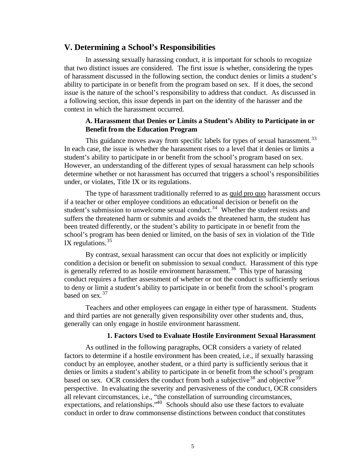## **V. Determining a School's Responsibilities**

In assessing sexually harassing conduct, it is important for schools to recognize that two distinct issues are considered. The first issue is whether, considering the types of harassment discussed in the following section, the conduct denies or limits a student's ability to participate in or benefit from the program based on sex. If it does, the second issue is the nature of the school's responsibility to address that conduct. As discussed in a following section, this issue depends in part on the identity of the harasser and the context in which the harassment occurred.

### **A. Harassment that Denies or Limits a Student's Ability to Participate in or Benefit from the Education Program**

This guidance moves away from specific labels for types of sexual harassment.<sup>33</sup> In each case, the issue is whether the harassment rises to a level that it denies or limits a student's ability to participate in or benefit from the school's program based on sex. However, an understanding of the different types of sexual harassment can help schools determine whether or not harassment has occurred that triggers a school's responsibilities under, or violates, Title IX or its regulations.

The type of harassment traditionally referred to as quid pro quo harassment occurs if a teacher or other employee conditions an educational decision or benefit on the student's submission to unwelcome sexual conduct.<sup>34</sup> Whether the student resists and suffers the threatened harm or submits and avoids the threatened harm, the student has been treated differently, or the student's ability to participate in or benefit from the school's program has been denied or limited, on the basis of sex in violation of the Title IX regulations.  $35$ 

By contrast, sexual harassment can occur that does not explicitly or implicitly condition a decision or benefit on submission to sexual conduct. Harassment of this type is generally referred to as hostile environment harassment.<sup>36</sup> This type of harassing conduct requires a further assessment of whether or not the conduct is sufficiently serious to deny or limit a student's ability to participate in or benefit from the school's program based on sex.<sup>37</sup>

Teachers and other employees can engage in either type of harassment. Students and third parties are not generally given responsibility over other students and, thus, generally can only engage in hostile environment harassment.

#### **1. Factors Used to Evaluate Hostile Environment Sexual Harassment**

As outlined in the following paragraphs, OCR considers a variety of related factors to determine if a hostile environment has been created, i.e., if sexually harassing conduct by an employee, another student, or a third party is sufficiently serious that it denies or limits a student's ability to participate in or benefit from the school's program based on sex. OCR considers the conduct from both a subjective<sup>38</sup> and objective<sup>39</sup> perspective. In evaluating the severity and pervasiveness of the conduc t, OCR considers all relevant circumstances, i.e., "the constellation of surrounding circumstances, expectations, and relationships."<sup>40</sup> Schools should also use these factors to evaluate conduct in order to draw commonsense distinctions between conduct that constitutes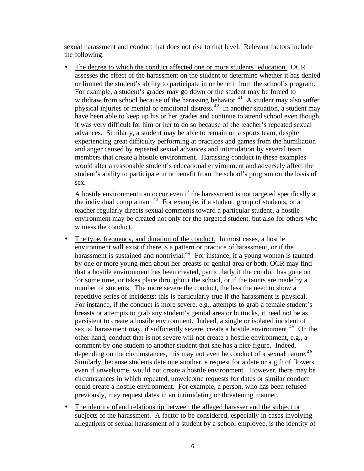sexual harassment and conduct that does not rise to that level. Relevant factors include the following:

• The degree to which the conduct affected one or more students' education. OCR assesses the effect of the harassment on the student to determine whether it has denied or limited the student's ability to participate in or benefit from the school's program. For example, a student's grades may go down or the student may be forced to withdraw from school because of the harassing behavior.<sup>41</sup> A student may also suffer physical injuries or mental or emotional distress.<sup>42</sup> In another situation, a student may have been able to keep up his or her grades and continue to attend school even though it was very difficult for him or her to do so because of the teacher's repeated sexual advances. Similarly, a student may be able to remain on a sports team, despite experiencing great difficulty performing at practices and games from the humiliation and anger caused by repeated sexual advances and intimidation by several team members that create a hostile environment. Harassing conduct in these examples would alter a reasonable student's educational environment and adversely affect the student's ability to participate in or benefit from the school's program on the basis of sex.

A hostile environment can occur even if the harassment is not targeted specifically at the individual complainant.<sup>43</sup> For example, if a student, group of students, or a teacher regularly directs sexual comments toward a particular student, a hostile environment may be created not only for the targeted student, but also for others who witness the conduct.

- The type, frequency, and duration of the conduct. In most cases, a hostile environment will exist if there is a pattern or practice of harassment, or if the harassment is sustained and nontrivial.<sup>44</sup> For instance, if a young woman is taunted by one or more young men about her breasts or genital area or both, OCR may find that a hostile environment has been created, particularly if the conduct has gone on for some time, or takes place throughout the school, or if the taunts are made by a number of students. The more severe the conduct, the less the need to show a repetitive series of incidents; this is particularly true if the harassment is physical. For instance, if the conduct is more severe, e.g., attempts to grab a female student's breasts or attempts to grab any student's genital area or buttocks, it need not be as persistent to create a hostile environment. Indeed, a single or isolated incident of sexual harassment may, if sufficiently severe, create a hostile environment.<sup>45</sup> On the other hand, conduct that is not severe will not create a hostile environment, e.g., a comment by one student to another student that she has a nice figure. Indeed, depending on the circumstances, this may not even be conduct of a sexual nature. $46$ Similarly, because students date one another, a request for a date or a gift of flowers, even if unwelcome, would not create a hostile environment. However, there may be circumstances in which repeated, unwelcome requests for dates or similar conduct could create a hostile environment. For example, a person, who has been refused previously, may request dates in an intimidating or threatening manner.
- The identity of and relationship between the alleged harasser and the subject or subjects of the harassment. A factor to be considered, especially in cases involving allegations of sexual harassment of a student by a school employee, is the identity of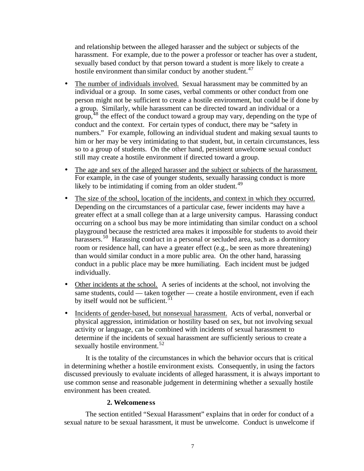and relationship between the alleged harasser and the subject or subjects of the harassment. For example, due to the power a professor or teacher has over a student, sexually based conduct by that person toward a student is more likely to create a hostile environment than similar conduct by another student.<sup>47</sup>

- The number of individuals involved. Sexual harassment may be committed by an individual or a group. In some cases, verbal comments or other conduct from one person might not be sufficient to create a hostile environment, but could be if done by a group. Similarly, while harassment can be directed toward an individual or a group,  $48$  the effect of the conduct toward a group may vary, depending on the type of conduct and the context. For certain types of conduct, there may be "safety in numbers." For example, following an individual student and making sexual taunts to him or her may be very intimidating to that student, but, in certain circumstances, less so to a group of students. On the other hand, persistent unwelcome sexual conduct still may create a hostile environment if directed toward a group.
- The age and sex of the alleged harasser and the subject or subjects of the harassment. For example, in the case of younger students, sexually harassing conduct is more likely to be intimidating if coming from an older student.<sup>49</sup>
- The size of the school, location of the incidents, and context in which they occurred. Depending on the circumstances of a particular case, fewer incidents may have a greater effect at a small college than at a large university campus. Harassing conduct occurring on a school bus may be more intimidating than similar conduct on a school playground because the restricted area makes it impossible for students to avoid their harassers.<sup>50</sup> Harassing conduct in a personal or secluded area, such as a dormitory room or residence hall, can have a greater effect (e.g., be seen as more threatening) than would similar conduct in a more public area. On the other hand, harassing conduct in a public place may be more humiliating. Each incident must be judged individually.
- Other incidents at the school. A series of incidents at the school, not involving the same students, could — taken together — create a hostile environment, even if each by itself would not be sufficient.<sup>51</sup>
- Incidents of gender-based, but nonsexual harassment. Acts of verbal, nonverbal or physical aggression, intimidation or hostility based on sex, but not involving sexual activity or language, can be combined with incidents of sexual harassment to determine if the incidents of sexual harassment are sufficiently serious to create a sexually hostile environment.<sup>52</sup>

It is the totality of the circumstances in which the behavior occurs that is critical in determining whether a hostile environment exists. Consequently, in using the factors discussed previously to evaluate incidents of alleged harassment, it is always important to use common sense and reasonable judgement in determining whether a sexually hostile environment has been created.

#### **2. Welcomene ss**

The section entitled "Sexual Harassment" explains that in order for conduct of a sexual nature to be sexual harassment, it must be unwelcome. Conduct is unwelcome if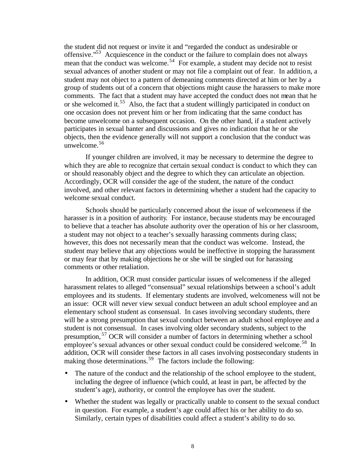the student did not request or invite it and "regarded the conduct as undesirable or offensive."<sup>53</sup> Acquiescence in the conduct or the failure to complain does not always mean that the conduct was welcome.<sup>54</sup> For example, a student may decide not to resist sexual advances of another student or may not file a complaint out of fear. In addition, a student may not object to a pattern of demeaning comments directed at him or her by a group of students out of a concern that objections might cause the harassers to make more comments. The fact that a student may have accepted the conduct does not mean that he or she welcomed it.<sup>55</sup> Also, the fact that a student willingly participated in conduct on one occasion does not prevent him or her from indicating that the same conduct has become unwelcome on a subsequent occasion. On the other hand, if a student actively participates in sexual banter and discussions and gives no indication that he or she objects, then the evidence generally will not support a conclusion that the conduct was unwelcome.<sup>56</sup>

If younger children are involved, it may be necessary to determine the degree to which they are able to recognize that certain sexual conduct is conduct to which they can or should reasonably object and the degree to which they can articulate an objection. Accordingly, OCR will consider the age of the student, the nature of the conduct involved, and other relevant factors in determining whether a student had the capacity to welcome sexual conduct.

Schools should be particularly concerned about the issue of welcomeness if the harasser is in a position of authority. For instance, because students may be encouraged to believe that a teacher has absolute authority over the operation of his or her classroom, a student may not object to a teacher's sexually harassing comments during class; however, this does not necessarily mean that the conduct was welcome. Instead, the student may believe that any objections would be ineffective in stopping the harassment or may fear that by making objections he or she will be singled out for harassing comments or other retaliation.

In addition, OCR must consider particular issues of welcomeness if the alleged harassment relates to alleged "consensual" sexual relationships between a school's adult employees and its students. If elementary students are involved, welcomeness will not be an issue: OCR will never view sexual conduct between an adult school employee and an elementary school student as consensual. In cases involving secondary students, there will be a strong presumption that sexual conduct between an adult school employee and a student is not consensual. In cases involving older secondary students, subject to the presumption,<sup>57</sup> OCR will consider a number of factors in determining whether a school employee's sexual advances or other sexual conduct could be considered welcome.<sup>58</sup> In addition, OCR will consider these factors in all cases involving postsecondary students in making those determinations.<sup>59</sup> The factors include the following:

- The nature of the conduct and the relationship of the school employee to the student, including the degree of influence (which could, at least in part, be affected by the student's age), authority, or control the employee has over the student.
- Whether the student was legally or practically unable to consent to the sexual conduct in question. For example, a student's age could affect his or her ability to do so. Similarly, certain types of disabilities could affect a student's ability to do so.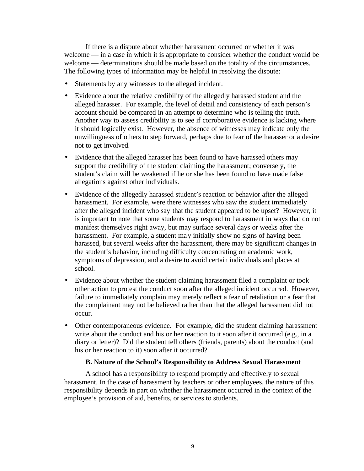If there is a dispute about whether harassment occurred or whether it was welcome — in a case in which it is appropriate to consider whether the conduct would be welcome — determinations should be made based on the totality of the circumstances. The following types of information may be helpful in resolving the dispute:

- Statements by any witnesses to the alleged incident.
- Evidence about the relative credibility of the allegedly harassed student and the alleged harasser. For example, the level of detail and consistency of each person's account should be compared in an attempt to determine who is telling the truth. Another way to assess credibility is to see if corroborative evidence is lacking where it should logically exist. However, the absence of witnesses may indicate only the unwillingness of others to step forward, perhaps due to fear of the harasser or a desire not to get involved.
- Evidence that the alleged harasser has been found to have harassed others may support the credibility of the student claiming the harassment; conversely, the student's claim will be weakened if he or she has been found to have made false allegations against other individuals.
- Evidence of the allegedly harassed student's reaction or behavior after the alleged harassment. For example, were there witnesses who saw the student immediately after the alleged incident who say that the student appeared to be upset? However, it is important to note that some students may respond to harassment in ways that do not manifest themselves right away, but may surface several days or weeks after the harassment. For example, a student may initially show no signs of having been harassed, but several weeks after the harassment, there may be significant changes in the student's behavior, including difficulty concentrating on academic work, symptoms of depression, and a desire to avoid certain individuals and places at school.
- Evidence about whether the student claiming harassment filed a complaint or took other action to protest the conduct soon after the alleged incident occurred. However, failure to immediately complain may merely reflect a fear of retaliation or a fear that the complainant may not be believed rather than that the alleged harassment did not occur.
- Other contemporaneous evidence. For example, did the student claiming harassment write about the conduct and his or her reaction to it soon after it occurred (e.g., in a diary or letter)? Did the student tell others (friends, parents) about the conduct (and his or her reaction to it) soon after it occurred?

### **B. Nature of the School's Responsibility to Address Sexual Harassment**

A school has a responsibility to respond promptly and effectively to sexual harassment. In the case of harassment by teachers or other employees, the nature of this responsibility depends in part on whether the harassment occurred in the context of the employee's provision of aid, benefits, or services to students.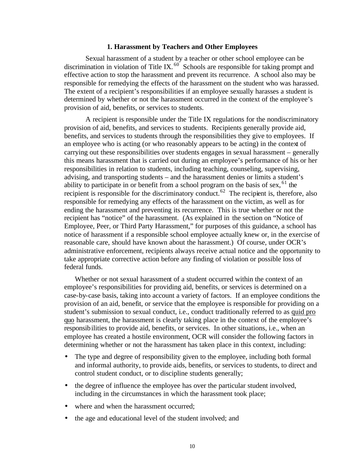#### **1. Harassment by Teachers and Other Employees**

Sexual harassment of a student by a teacher or other school employee can be discrimination in violation of Title IX.<sup>60</sup> Schools are responsible for taking prompt and effective action to stop the harassment and prevent its recurrence. A school also may be responsible for remedying the effects of the harassment on the student who was harassed. The extent of a recipient's responsibilities if an employee sexually harasses a student is determined by whether or not the harassment occurred in the context of the employee's provision of aid, benefits, or services to students.

A recipient is responsible under the Title IX regulations for the nondiscriminatory provision of aid, benefits, and services to students. Recipients generally provide aid, benefits, and services to students through the responsibilities they give to employees. If an employee who is acting (or who reasonably appears to be acting) in the context of carrying out these responsibilities over students engages in sexual harassment – generally this means harassment that is carried out during an employee's performance of his or her responsibilities in relation to students, including teaching, counseling, supervising, advising, and transporting students – and the harassment denies or limits a student's ability to participate in or benefit from a school program on the basis of sex,  $^{61}$  the recipient is responsible for the discriminatory conduct.<sup>62</sup> The recipient is, therefore, also responsible for remedying any effects of the harassment on the victim, as well as for ending the harassment and preventing its recurrence. This is true whether or not the recipient has "notice" of the harassment. (As explained in the section on "Notice of Employee, Peer, or Third Party Harassment," for purposes of this guidance, a school has notice of harassment if a responsible school employee actually knew or, in the exercise of reasonable care, should have known about the harassment.) Of course, under OCR's administrative enforcement, recipients always receive actual notice and the opportunity to take appropriate corrective action before any finding of violation or possible loss of federal funds.

Whether or not sexual harassment of a student occurred within the context of an employee's responsibilities for providing aid, benefits, or services is determined on a case-by-case basis, taking into account a variety of factors. If an employee conditions the provision of an aid, benefit, or service that the employee is responsible for providing on a student's submission to sexual conduct, i.e., conduct traditionally referred to as quid pro quo harassment, the harassment is clearly taking place in the context of the employee's responsibilities to provide aid, benefits, or services. In other situations, i.e., when an employee has created a hostile environment, OCR will consider the following factors in determining whether or not the harassment has taken place in this context, including:

- The type and degree of responsibility given to the employee, including both formal and informal authority, to provide aids, benefits, or services to students, to direct and control student conduct, or to discipline students generally;
- the degree of influence the employee has over the particular student involved, including in the circumstances in which the harassment took place;
- where and when the harassment occurred:
- the age and educational level of the student involved; and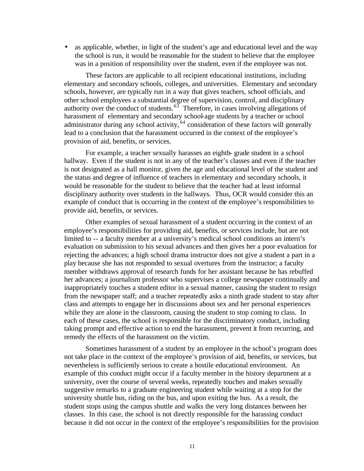• as applicable, whether, in light of the student's age and educational level and the way the school is run, it would be reasonable for the student to believe that the employee was in a position of responsibility over the student, even if the employee was not.

These factors are applicable to all recipient educational institutions, including elementary and secondary schools, colleges, and universities. Elementary and secondary schools, however, are typically run in a way that gives teachers, school officials, and other school employees a substantial degree of supervision, control, and disciplinary authority over the conduct of students. $63$  Therefore, in cases involving allegations of harassment of elementary and secondary school-age students by a teacher or school administrator during any school activity, <sup>64</sup> consideration of these factors will generally lead to a conclusion that the harassment occurred in the context of the employee's provision of aid, benefits, or services.

For example, a teacher sexually harasses an eighth- grade student in a school hallway. Even if the student is not in any of the teacher's classes and even if the teacher is not designated as a hall monitor, given the age and educational level of the student and the status and degree of influence of teachers in elementary and secondary schools, it would be reasonable for the student to believe that the teacher had at least informal disciplinary authority over students in the hallways. Thus, OCR would consider this an example of conduct that is occurring in the context of the employee's responsibilities to provide aid, benefits, or services.

Other examples of sexual harassment of a student occurring in the context of an employee's responsibilities for providing aid, benefits, or services include, but are not limited to -- a faculty member at a university's medical school conditions an intern's evaluation on submission to his sexual advances and then gives her a poor evaluation for rejecting the advances; a high school drama instructor does not give a student a part in a play because she has not responded to sexual overtures from the instructor; a faculty member withdraws approval of research funds for her assistant because he has rebuffed her advances; a journalism professor who supervises a college newspaper continually and inappropriately touches a student editor in a sexual manner, causing the student to resign from the newspaper staff; and a teacher repeatedly asks a ninth grade student to stay after class and attempts to engage her in discussions about sex and her personal experiences while they are alone in the classroom, causing the student to stop coming to class. In each of these cases, the school is responsible for the discriminatory conduct, including taking prompt and effective action to end the harassment, prevent it from recurring, and remedy the effects of the harassment on the victim.

Sometimes harassment of a student by an employee in the school's program does not take place in the context of the employee's provision of aid, benefits, or services, but nevertheless is sufficiently serious to create a hostile educational environment. An example of this conduct might occur if a faculty member in the history department at a university, over the course of several weeks, repeatedly touches and makes sexually suggestive remarks to a graduate engineering student while waiting at a stop for the university shuttle bus, riding on the bus, and upon exiting the bus. As a result, the student stops using the campus shuttle and walks the very long distances between her classes. In this case, the school is not directly responsible for the harassing conduct because it did not occur in the context of the employee's responsibilities for the provision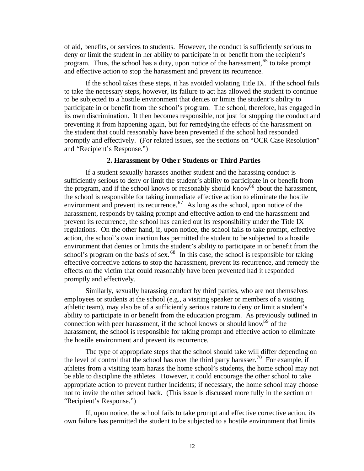of aid, benefits, or services to students. However, the conduct is sufficiently serious to deny or limit the student in her ability to participate in or benefit from the recipient's program. Thus, the school has a duty, upon notice of the harassment,  $65$  to take prompt and effective action to stop the harassment and prevent its recurrence.

If the school takes these steps, it has avoided violating Title IX. If the school fails to take the necessary steps, however, its failure to act has allowed the student to continue to be subjected to a hostile environment that denies or limits the student's ability to participate in or benefit from the school's program. The school, therefore, has engaged in its own discrimination. It then becomes responsible, not just for stopping the conduct and preventing it from happening again, but for remedying the effects of the harassment on the student that could reasonably have been prevented if the school had responded promptly and effectively. (For related issues, see the sections on "OCR Case Resolution" and "Recipient's Response.")

#### **2. Harassment by Othe r Students or Third Parties**

If a student sexually harasses another student and the harassing conduct is sufficiently serious to deny or limit the student's ability to participate in or benefit from the program, and if the school knows or reasonably should know  $\delta$ <sup>66</sup> about the harassment, the school is responsible for taking immediate effective action to eliminate the hostile environment and prevent its recurrence.<sup>67</sup> As long as the school, upon notice of the harassment, responds by taking prompt and effective action to end the harassment and prevent its recurrence, the school has carried out its responsibility under the Title IX regulations. On the other hand, if, upon notice, the school fails to take prompt, effective action, the school's own inaction has permitted the student to be subjected to a hostile environment that denies or limits the student's ability to participate in or benefit from the school's program on the basis of sex.  $^{68}$  In this case, the school is responsible for taking effective corrective actions to stop the harassment, prevent its recurrence, and remedy the effects on the victim that could reasonably have been prevented had it responded promptly and effectively.

Similarly, sexually harassing conduct by third parties, who are not themselves employees or students at the school (e.g., a visiting speaker or members of a visiting athletic team), may also be of a sufficiently serious nature to deny or limit a student's ability to participate in or benefit from the education program. As previously outlined in connection with peer harassment, if the school knows or should know<sup>69</sup> of the harassment, the school is responsible for taking prompt and effective action to eliminate the hostile environment and prevent its recurrence.

The type of appropriate steps that the school should take will differ depending on the level of control that the school has over the third party harasser.<sup>70</sup> For example, if athletes from a visiting team harass the home school's students, the home school may not be able to discipline the athletes. However, it could encourage the other school to take appropriate action to prevent further incidents; if necessary, the home school may choose not to invite the other school back. (This issue is discussed more fully in the section on "Recipient's Response.")

If, upon notice, the school fails to take prompt and effective corrective action, its own failure has permitted the student to be subjected to a hostile environment that limits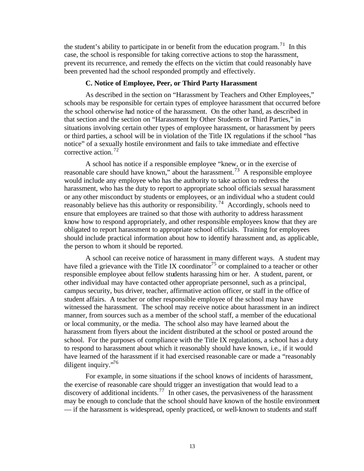the student's ability to participate in or benefit from the education program.<sup>71</sup> In this case, the school is responsible for taking corrective actions to stop the harassment, prevent its recurrence, and remedy the effects on the victim that could reasonably have been prevented had the school responded promptly and effectively.

#### **C. Notice of Employee, Peer, or Third Party Harassment**

As described in the section on "Harassment by Teachers and Other Employees," schools may be responsible for certain types of employee harassment that occurred before the school otherwise had notice of the harassment. On the other hand, as described in that section and the section on "Harassment by Other Students or Third Parties," in situations involving certain other types of employee harassment, or harassment by peers or third parties, a school will be in violation of the Title IX regulations if the school "has notice" of a sexually hostile environment and fails to take immediate and effective corrective action.<sup>72</sup>

A school has notice if a responsible employee "knew, or in the exercise of reasonable care should have known," about the harassment.<sup>73</sup> A responsible employee would include any employee who has the authority to take action to redress the harassment, who has the duty to report to appropriate school officials sexual harassment or any other misconduct by students or employees, or an individual who a student could reasonably believe has this authority or responsibility.<sup>74</sup> Accordingly, schools need to ensure that employees are trained so that those with authority to address harassment know how to respond appropriately, and other responsible employees know that they are obligated to report harassment to appropriate school officials. Training for employees should include practical information about how to identify harassment and, as applicable, the person to whom it should be reported.

A school can receive notice of harassment in many different ways. A student may have filed a grievance with the Title IX coordinator<sup>75</sup> or complained to a teacher or other responsible employee about fellow students harassing him or her. A student, parent, or other individual may have contacted other appropriate personnel, such as a principal, campus security, bus driver, teacher, affirmative action officer, or staff in the office of student affairs. A teacher or other responsible employee of the school may have witnessed the harassment. The school may receive notice about harassment in an indirect manner, from sources such as a member of the school staff, a member of the educational or local community, or the media. The school also may have learned about the harassment from flyers about the incident distributed at the school or posted around the school. For the purposes of compliance with the Title IX regulations, a school has a duty to respond to harassment about which it reasonably should have known, i.e., if it would have learned of the harassment if it had exercised reasonable care or made a "reasonably diligent inquiry."<sup>76</sup>

For example, in some situations if the school knows of incidents of harassment, the exercise of reasonable care should trigger an investigation that would lead to a discovery of additional incidents.<sup>77</sup> In other cases, the pervasiveness of the harassment may be enough to conclude that the school should have known of the hostile environment –– if the harassment is widespread, openly practiced, or well-known to students and staff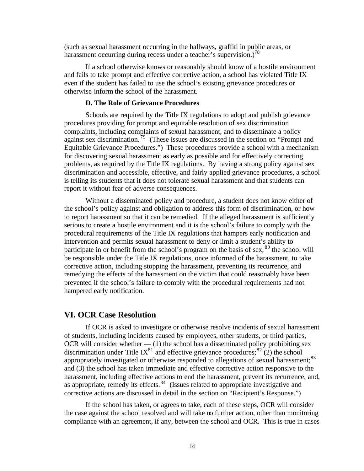(such as sexual harassment occurring in the hallways, graffiti in public areas, or harassment occurring during recess under a teacher's supervision.)<sup>78</sup>

If a school otherwise knows or reasonably should know of a hostile environment and fails to take prompt and effective corrective action, a school has violated Title IX even if the student has failed to use the school's existing grievance procedures or otherwise inform the school of the harassment.

#### **D. The Role of Grievance Procedures**

Schools are required by the Title IX regulations to adopt and publish grievance procedures providing for prompt and equitable resolution of sex discrimination complaints, including complaints of sexual harassment, and to disseminate a policy against sex discrimination.<sup>79</sup> (These issues are discussed in the section on "Prompt and Equitable Grievance Procedures.") These procedures provide a school with a mechanism for discovering sexual harassment as early as possible and for effectively correcting problems, as required by the Title IX regulations. By having a strong policy against sex discrimination and accessible, effective, and fairly applied grievance procedures, a school is telling its students that it does not tolerate sexual harassment and that students can report it without fear of adverse consequences.

Without a disseminated policy and procedure, a student does not know either of the school's policy against and obligation to address this form of discrimination, or how to report harassment so that it can be remedied. If the alleged harassment is sufficiently serious to create a hostile environment and it is the school's failure to comply with the procedural requirements of the Title IX regulations that hampers early notification and intervention and permits sexual harassment to deny or limit a student's ability to participate in or benefit from the school's program on the basis of sex,  $80$  the school will be responsible under the Title IX regulations, once informed of the harassment, to take corrective action, including stopping the harassment, preventing its recurrence, and remedying the effects of the harassment on the victim that could reasonably have been prevented if the school's failure to comply with the procedural requirements had not hampered early notification.

## **VI. OCR Case Resolution**

If OCR is asked to investigate or otherwise resolve incidents of sexual harassment of students, including incidents caused by employees, other students, or third parties, OCR will consider whether  $-$  (1) the school has a disseminated policy prohibiting sex discrimination under Title IX<sup>81</sup> and effective grievance procedures;<sup>82</sup> (2) the school appropriately investigated or otherwise responded to allegations of sexual harassment;<sup>83</sup> and (3) the school has taken immediate and effective corrective action responsive to the harassment, including effective actions to end the harassment, prevent its recurrence, and, as appropriate, remedy its effects.<sup>84</sup> (Issues related to appropriate investigative and corrective actions are discussed in detail in the section on "Recipient's Response.")

If the school has taken, or agrees to take, each of these steps, OCR will consider the case against the school resolved and will take no further action, other than monitoring compliance with an agreement, if any, between the school and OCR. This is true in cases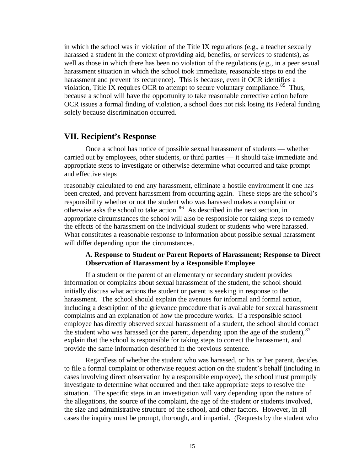in which the school was in violation of the Title IX regulations (e.g., a teacher sexually harassed a student in the context of providing aid, benefits, or services to students), as well as those in which there has been no violation of the regulations (e.g., in a peer sexual harassment situation in which the school took immediate, reasonable steps to end the harassment and prevent its recurrence). This is because, even if OCR identifies a violation, Title IX requires OCR to attempt to secure voluntary compliance.<sup>85</sup> Thus, because a school will have the opportunity to take reasonable corrective action before OCR issues a formal finding of violation, a school does not risk losing its Federal funding solely because discrimination occurred.

## **VII. Recipient's Response**

Once a school has notice of possible sexual harassment of students –– whether carried out by employees, other students, or third parties –– it should take immediate and appropriate steps to investigate or otherwise determine what occurred and take prompt and effective steps

reasonably calculated to end any harassment, eliminate a hostile environment if one has been created, and prevent harassment from occurring again. These steps are the school's responsibility whether or not the student who was harassed makes a complaint or otherwise asks the school to take action. <sup>86</sup> As described in the next section, in appropriate circumstances the school will also be responsible for taking steps to remedy the effects of the harassment on the individual student or students who were harassed. What constitutes a reasonable response to information about possible sexual harassment will differ depending upon the circumstances.

#### **A. Response to Student or Parent Reports of Harassment; Response to Direct Observation of Harassment by a Responsible Employee**

If a student or the parent of an elementary or secondary student provides information or complains about sexual harassment of the student, the school should initially discuss what actions the student or parent is seeking in response to the harassment. The school should explain the avenues for informal and formal action, including a description of the grievance procedure that is available for sexual harassment complaints and an explanation of how the procedure works. If a responsible school employee has directly observed sexual harassment of a student, the school should contact the student who was harassed (or the parent, depending upon the age of the student),  $87$ explain that the school is responsible for taking steps to correct the harassment, and provide the same information described in the previous sentence.

Regardless of whether the student who was harassed, or his or her parent, decides to file a formal complaint or otherwise request action on the student's behalf (including in cases involving direct observation by a responsible employee), the school must promptly investigate to determine what occurred and then take appropriate steps to resolve the situation. The specific steps in an investigation will vary depending upon the nature of the allegations, the source of the complaint, the age of the student or students involved, the size and administrative structure of the school, and other factors. However, in all cases the inquiry must be prompt, thorough, and impartial. (Requests by the student who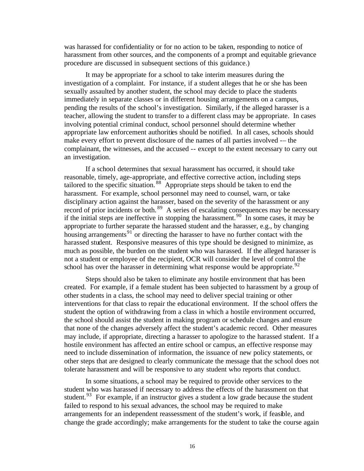was harassed for confidentiality or for no action to be taken, responding to notice of harassment from other sources, and the components of a prompt and equitable grievance procedure are discussed in subsequent sections of this guidance.)

It may be appropriate for a school to take interim measures during the investigation of a complaint. For instance, if a student alleges that he or she has been sexually assaulted by another student, the school may decide to place the students immediately in separate classes or in different housing arrangements on a campus, pending the results of the school's investigation. Similarly, if the alleged harasser is a teacher, allowing the student to transfer to a different class may be appropriate. In cases involving potential criminal conduct, school personnel should determine whether appropriate law enforcement authorities should be notified. In all cases, schools should make every effort to prevent disclosure of the names of all parties involved -– the complainant, the witnesses, and the accused -- except to the extent necessary to carry out an investigation.

If a school determines that sexual harassment has occurred, it should take reasonable, timely, age-appropriate, and effective corrective action, including steps tailored to the specific situation. <sup>88</sup> Appropriate steps should be taken to end the harassment. For example, school personnel may need to counsel, warn, or take disciplinary action against the harasser, based on the severity of the harassment or any record of prior incidents or both.<sup>89</sup> A series of escalating consequences may be necessary if the initial steps are ineffective in stopping the harassment.<sup>90</sup> In some cases, it may be appropriate to further separate the harassed student and the harasser, e.g., by changing housing arrangements<sup>91</sup> or directing the harasser to have no further contact with the harassed student. Responsive measures of this type should be designed to minimize, as much as possible, the burden on the student who was harassed. If the alleged harasser is not a student or employee of the recipient, OCR will consider the level of control the school has over the harasser in determining what response would be appropriate.  $92$ 

Steps should also be taken to eliminate any hostile environment that has been created. For example, if a female student has been subjected to harassment by a group of other students in a class, the school may need to deliver special training or other interventions for that class to repair the educational environment. If the school offers the student the option of withdrawing from a class in which a hostile environment occurred, the school should assist the student in making program or schedule changes and ensure that none of the changes adversely affect the student's academic record. Other measures may include, if appropriate, directing a harasser to apologize to the harassed student. If a hostile environment has affected an entire school or campus, an effective response may need to include dissemination of information, the issuance of new policy statements, or other steps that are designed to clearly communicate the message that the school does not tolerate harassment and will be responsive to any student who reports that conduct.

In some situations, a school may be required to provide other services to the student who was harassed if necessary to address the effects of the harassment on that student.<sup>93</sup> For example, if an instructor gives a student a low grade because the student failed to respond to his sexual advances, the school may be required to make arrangements for an independent reassessment of the student's work, if feasible, and change the grade accordingly; make arrangements for the student to take the course again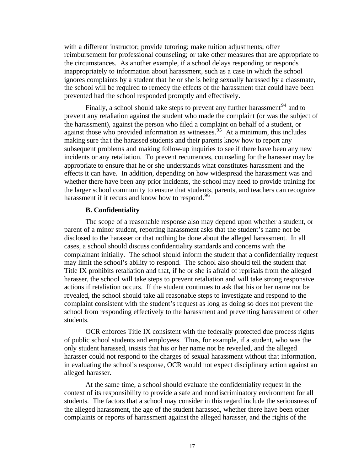with a different instructor; provide tutoring; make tuition adjustments; offer reimbursement for professional counseling; or take other measures that are appropriate to the circumstances. As another example, if a school delays responding or responds inappropriately to information about harassment, such as a case in which the school ignores complaints by a student that he or she is being sexually harassed by a classmate, the school will be required to remedy the effects of the harassment that could have been prevented had the school responded promptly and effectively.

Finally, a school should take steps to prevent any further harassment<sup>94</sup> and to prevent any retaliation against the student who made the complaint (or was the subject of the harassment), against the person who filed a complaint on behalf of a student, or against those who provided information as witnesses.<sup>95</sup> At a minimum, this includes making sure tha t the harassed students and their parents know how to report any subsequent problems and making follow-up inquiries to see if there have been any new incidents or any retaliation. To prevent recurrences, counseling for the harasser may be appropriate to ensure that he or she understands what constitutes harassment and the effects it can have. In addition, depending on how widespread the harassment was and whether there have been any prior incidents, the school may need to provide training for the larger school community to ensure that students, parents, and teachers can recognize harassment if it recurs and know how to respond.<sup>96</sup>

#### **B. Confidentiality**

The scope of a reasonable response also may depend upon whether a student, or parent of a minor student, reporting harassment asks that the student's name not be disclosed to the harasser or that nothing be done about the alleged harassment. In all cases, a school should discuss confidentiality standards and concerns with the complainant initially. The school should inform the student that a confidentiality request may limit the school's ability to respond. The school also should tell the student that Title IX prohibits retaliation and that, if he or she is afraid of reprisals from the alleged harasser, the school will take steps to prevent retaliation and will take strong responsive actions if retaliation occurs. If the student continues to ask that his or her name not be revealed, the school should take all reasonable steps to investigate and respond to the complaint consistent with the student's request as long as doing so does not prevent the school from responding effectively to the harassment and preventing harassment of other students.

OCR enforces Title IX consistent with the federally protected due process rights of public school students and employees. Thus, for example, if a student, who was the only student harassed, insists that his or her name not be revealed, and the alleged harasser could not respond to the charges of sexual harassment without that information, in evaluating the school's response, OCR would not expect disciplinary action against an alleged harasser.

At the same time, a school should evaluate the confidentiality request in the context of its responsibility to provide a safe and nondiscriminatory environment for all students. The factors that a school may consider in this regard include the seriousness of the alleged harassment, the age of the student harassed, whether there have been other complaints or reports of harassment against the alleged harasser, and the rights of the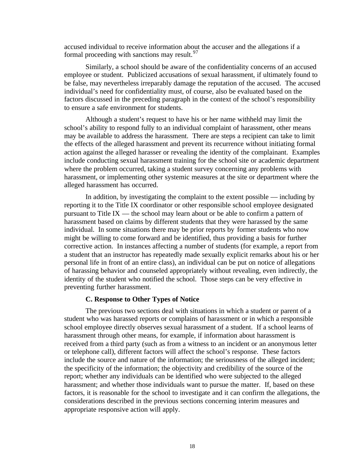accused individual to receive information about the accuser and the allegations if a formal proceeding with sanctions may result.  $97$ 

Similarly, a school should be aware of the confidentiality concerns of an accused employee or student. Publicized accusations of sexual harassment, if ultimately found to be false, may nevertheless irreparably damage the reputation of the accused. The accused individual's need for confidentiality must, of course, also be evaluated based on the factors discussed in the preceding paragraph in the context of the school's responsibility to ensure a safe environment for students.

Although a student's request to have his or her name withheld may limit the school's ability to respond fully to an individual complaint of harassment, other means may be available to address the harassment. There are steps a recipient can take to limit the effects of the alleged harassment and prevent its recurrence without initiating formal action against the alleged harasser or revealing the identity of the complainant. Examples include conducting sexual harassment training for the school site or academic department where the problem occurred, taking a student survey concerning any problems with harassment, or implementing other systemic measures at the site or department where the alleged harassment has occurred.

In addition, by investigating the complaint to the extent possible –– including by reporting it to the Title IX coordinator or other responsible school employee designated pursuant to Title IX –– the school may learn about or be able to confirm a pattern of harassment based on claims by different students that they were harassed by the same individual. In some situations there may be prior reports by former students who now might be willing to come forward and be identified, thus providing a basis for further corrective action. In instances affecting a number of students (for example, a report from a student that an instructor has repeatedly made sexually explicit remarks about his or her personal life in front of an entire class), an individual can be put on notice of allegations of harassing behavior and counseled appropriately without revealing, even indirectly, the identity of the student who notified the school. Those steps can be very effective in preventing further harassment.

#### **C. Response to Other Types of Notice**

The previous two sections deal with situations in which a student or parent of a student who was harassed reports or complains of harassment or in which a responsible school employee directly observes sexual harassment of a student. If a school learns of harassment through other means, for example, if information about harassment is received from a third party (such as from a witness to an incident or an anonymous letter or telephone call), different factors will affect the school's response. These factors include the source and nature of the information; the seriousness of the alleged incident; the specificity of the information; the objectivity and credibility of the source of the report; whether any individuals can be identified who were subjected to the alleged harassment; and whether those individuals want to pursue the matter. If, based on these factors, it is reasonable for the school to investigate and it can confirm the allegations, the considerations described in the previous sections concerning interim measures and appropriate responsive action will apply.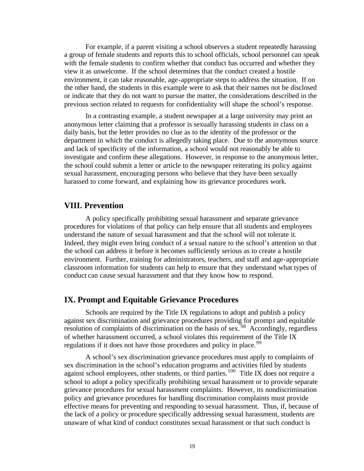For example, if a parent visiting a school observes a student repeatedly harassing a group of female students and reports this to school officials, school personnel can speak with the female students to confirm whether that conduct has occurred and whether they view it as unwelcome. If the school determines that the conduct created a hostile environment, it can take reasonable, age-appropriate steps to address the situation. If on the other hand, the students in this example were to ask that their names not be disclosed or indicate that they do not want to pursue the matter, the considerations described in the previous section related to requests for confidentiality will shape the school's response.

In a contrasting example, a student newspaper at a large university may print an anonymous letter claiming that a professor is sexually harassing students in class on a daily basis, but the letter provides no clue as to the identity of the professor or the department in which the conduct is allegedly taking place. Due to the anonymous source and lack of specificity of the information, a school would not reasonably be able to investigate and confirm these allegations. However, in response to the anonymous letter, the school could submit a letter or article to the newspaper reiterating its policy against sexual harassment, encouraging persons who believe that they have been sexually harassed to come forward, and explaining how its grievance procedures work.

## **VIII. Prevention**

A policy specifically prohibiting sexual harassment and separate grievance procedures for violations of that policy can help ensure that all students and employees understand the nature of sexual harassment and that the school will not tolerate it. Indeed, they might even bring conduct of a sexual nature to the school's attention so that the school can address it before it becomes sufficiently serious as to create a hostile environment. Further, training for administrators, teachers, and staff and age-appropriate classroom information for students can help to ensure that they understand what types of conduct can cause sexual harassment and that they know how to respond.

### **IX. Prompt and Equitable Grievance Procedures**

Schools are required by the Title IX regulations to adopt and publish a policy against sex discrimination and grievance procedures providing for prompt and equitable resolution of complaints of discrimination on the basis of sex.<sup>98</sup> Accordingly, regardless of whether harassment occurred, a school violates this requirement of the Title IX regulations if it does not have those procedures and policy in place.<sup>99</sup>

A school's sex discrimination grievance procedures must apply to complaints of sex discrimination in the school's education programs and activities filed by students against school employees, other students, or third parties.<sup>100</sup> Title IX does not require a school to adopt a policy specifically prohibiting sexual harassment or to provide separate grievance procedures for sexual harassment complaints. However, its nondiscrimination policy and grievance procedures for handling discrimination complaints must provide effective means for preventing and responding to sexual harassment. Thus, if, because of the lack of a policy or procedure specifically addressing sexual harassment, students are unaware of what kind of conduct constitutes sexual harassment or that such conduct is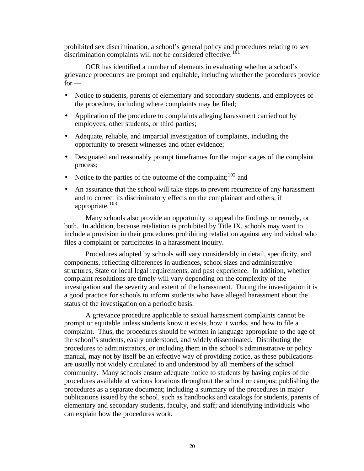prohibited sex discrimination, a school's general policy and procedures relating to sex discrimination complaints will not be considered effective.<sup>101</sup>

OCR has identified a number of elements in evaluating whether a school's grievance procedures are prompt and equitable, including whether the procedures provide  $for -$ 

- Notice to students, parents of elementary and secondary students, and employees of the procedure, including where complaints may be filed;
- Application of the procedure to complaints alleging harassment carried out by employees, other students, or third parties;
- Adequate, reliable, and impartial investigation of complaints, including the opportunity to present witnesses and other evidence;
- Designated and reasonably prompt timeframes for the major stages of the complaint process;
- Notice to the parties of the outcome of the complaint:  $102$  and
- An assurance that the school will take steps to prevent recurrence of any harassment and to correct its discriminatory effects on the complainant and others, if appropriate. $103$

Many schools also provide an opportunity to appeal the findings or remedy, or both. In addition, because retaliation is prohibited by Title IX, schools may want to include a provision in their procedures prohibiting retaliation against any individual who files a complaint or participates in a harassment inquiry.

Procedures adopted by schools will vary considerably in detail, specificity, and components, reflecting differences in audiences, school sizes and administrative structures, State or local legal requirements, and past experience. In addition, whether complaint resolutions are timely will vary depending on the complexity of the investigation and the severity and extent of the harassment. During the investigation it is a good practice for schools to inform students who have alleged harassment about the status of the investigation on a periodic basis.

A grievance procedure applicable to sexual harassment complaints cannot be prompt or equitable unless students know it exists, how it works, and how to file a complaint. Thus, the procedures should be written in language appropriate to the age of the school's students, easily understood, and widely disseminated. Distributing the procedures to administrators, or including them in the school's administrative or policy manual, may not by itself be an effective way of providing notice, as these publications are usually not widely circulated to and understood by all members of the school community. Many schools ensure adequate notice to students by having copies of the procedures available at various locations throughout the school or campus; publishing the procedures as a separate document; including a summary of the procedures in major publications issued by the school, such as handbooks and catalogs for students, parents of elementary and secondary students, faculty, and staff; and identifying individuals who can explain how the procedures work.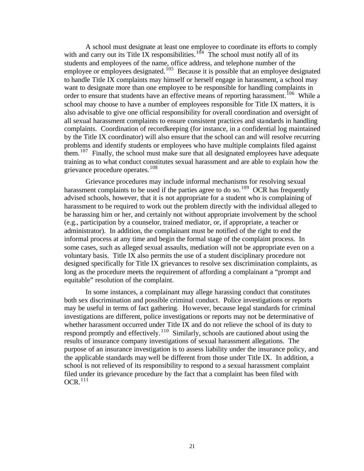A school must designate at least one employee to coordinate its efforts to comply with and carry out its Title IX responsibilities.<sup>104</sup> The school must notify all of its students and employees of the name, office address, and telephone number of the employee or employees designated.<sup>105</sup> Because it is possible that an employee designated to handle Title IX complaints may himself or herself engage in harassment, a school may want to designate more than one employee to be responsible for handling complaints in order to ensure that students have an effective means of reporting harassment.<sup>106</sup> While a school may choose to have a number of employees responsible for Title IX matters, it is also advisable to give one official responsibility for overall coordination and oversight of all sexual harassment complaints to ensure consistent practices and standards in handling complaints. Coordination of recordkeeping (for instance, in a confidential log maintained by the Title IX coordinator) will also ensure that the school can and will resolve recurring problems and identify students or employees who have multiple complaints filed against them.  $107$  Finally, the school must make sure that all designated employees have adequate training as to what conduct constitutes sexual harassment and are able to explain how the grievance procedure operates.<sup>108</sup>

Grievance procedures may include informal mechanisms for resolving sexual harassment complaints to be used if the parties agree to do so.<sup>109</sup> OCR has frequently advised schools, however, that it is not appropriate for a student who is complaining of harassment to be required to work out the problem directly with the individual alleged to be harassing him or her, and certainly not without appropriate involvement by the school (e.g., participation by a counselor, trained mediator, or, if appropriate, a teacher or administrator). In addition, the complainant must be notified of the right to end the informal process at any time and begin the formal stage of the complaint process. In some cases, such as alleged sexual assaults, mediation will not be appropriate even on a voluntary basis. Title IX also permits the use of a student disciplinary procedure not designed specifically for Title IX grievances to resolve sex discrimination complaints, as long as the procedure meets the requirement of affording a complainant a "prompt and equitable" resolution of the complaint.

In some instances, a complainant may allege harassing conduct that constitutes both sex discrimination and possible criminal conduct. Police investigations or reports may be useful in terms of fact gathering. However, because legal standards for criminal investigations are different, police investigations or reports may not be determinative of whether harassment occurred under Title IX and do not relieve the school of its duty to respond promptly and effectively.<sup>110</sup> Similarly, schools are cautioned about using the results of insurance company investigations of sexual harassment allegations. The purpose of an insurance investigation is to assess liability under the insurance policy, and the applicable standards may well be different from those under Title IX. In addition, a school is not relieved of its responsibility to respond to a sexual harassment complaint filed under its grievance procedure by the fact that a complaint has been filed with  $OCR.$ <sup>111</sup>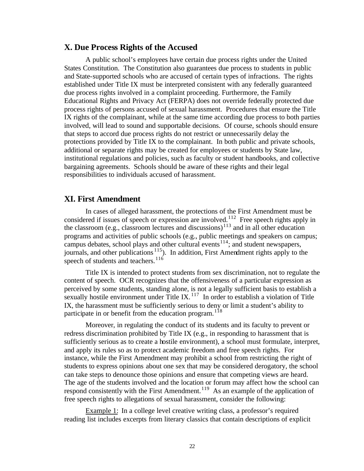# **X. Due Process Rights of the Accused**

A public school's employees have certain due process rights under the United States Constitution. The Constitution also guarantees due process to students in public and State-supported schools who are accused of certain types of infractions. The rights established under Title IX must be interpreted consistent with any federally guaranteed due process rights involved in a complaint proceeding. Furthermore, the Family Educational Rights and Privacy Act (FERPA) does not override federally protected due process rights of persons accused of sexual harassment. Procedures that ensure the Title IX rights of the complainant, while at the same time according due process to both parties involved, will lead to sound and supportable decisions. Of course, schools should ensure that steps to accord due process rights do not restrict or unnecessarily delay the protections provided by Title IX to the complainant. In both public and private schools, additional or separate rights may be created for employees or students by State law, institutional regulations and policies, such as faculty or student handbooks, and collective bargaining agreements. Schools should be aware of these rights and their legal responsibilities to individuals accused of harassment.

### **XI. First Amendment**

In cases of alleged harassment, the protections of the First Amendment must be considered if issues of speech or expression are involved.<sup>112</sup> Free speech rights apply in the classroom (e.g., classroom lectures and discussions)<sup>113</sup> and in all other education programs and activities of public schools (e.g., public meetings and speakers on campus; campus debates, school plays and other cultural events<sup>114</sup>; and student newspapers, journals, and other publications  $\frac{115}{12}$ . In addition, First Amendment rights apply to the speech of students and teachers.<sup>116</sup>

Title IX is intended to protect students from sex discrimination, not to regulate the content of speech. OCR recognizes that the offensiveness of a particular expression as perceived by some students, standing alone, is not a legally sufficient basis to establish a sexually hostile environment under Title IX.  $^{117}$  In order to establish a violation of Title IX, the harassment must be sufficiently serious to deny or limit a student's ability to participate in or benefit from the education program.<sup>118</sup>

Moreover, in regulating the conduct of its students and its faculty to prevent or redress discrimination prohibited by Title IX (e.g., in responding to harassment that is sufficiently serious as to create a hostile environment), a school must formulate, interpret, and apply its rules so as to protect academic freedom and free speech rights. For instance, while the First Amendment may prohibit a school from restricting the right of students to express opinions about one sex that may be considered derogatory, the school can take steps to denounce those opinions and ensure that competing views are heard. The age of the students involved and the location or forum may affect how the school can respond consistently with the First Amendment.<sup>119</sup> As an example of the application of free speech rights to allegations of sexual harassment, consider the following:

Example 1: In a college level creative writing class, a professor's required reading list includes excerpts from literary classics that contain descriptions of explicit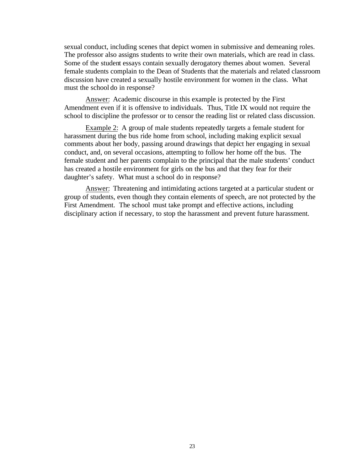sexual conduct, including scenes that depict women in submissive and demeaning roles. The professor also assigns students to write their own materials, which are read in class. Some of the student essays contain sexually derogatory themes about women. Several female students complain to the Dean of Students that the materials and related classroom discussion have created a sexually hostile environment for women in the class. What must the school do in response?

Answer: Academic discourse in this example is protected by the First Amendment even if it is offensive to individuals. Thus, Title IX would not require the school to discipline the professor or to censor the reading list or related class discussion.

Example 2: A group of male students repeatedly targets a female student for harassment during the bus ride home from school, including making explicit sexual comments about her body, passing around drawings that depict her engaging in sexual conduct, and, on several occasions, attempting to follow her home off the bus. The female student and her parents complain to the principal that the male students' conduct has created a hostile environment for girls on the bus and that they fear for their daughter's safety. What must a school do in response?

Answer: Threatening and intimidating actions targeted at a particular student or group of students, even though they contain elements of speech, are not protected by the First Amendment. The school must take prompt and effective actions, including disciplinary action if necessary, to stop the harassment and prevent future harassment.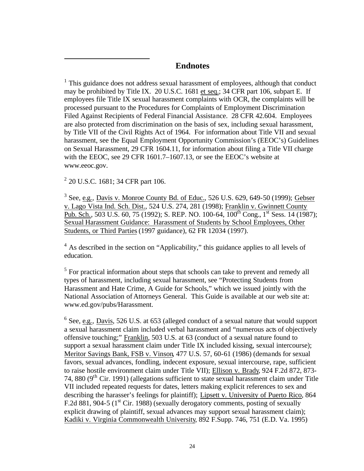# **Endnotes**

<sup>1</sup> This guidance does not address sexual harassment of employees, although that conduct may be prohibited by Title IX. 20 U.S.C. 1681 et seq.; 34 CFR part 106, subpart E. If employees file Title IX sexual harassment complaints with OCR, the complaints will be processed pursuant to the Procedures for Complaints of Employment Discrimination Filed Against Recipients of Federal Financial Assistance. 28 CFR 42.604. Employees are also protected from discrimination on the basis of sex, including sexual harassment, by Title VII of the Civil Rights Act of 1964. For information about Title VII and sexual harassment, see the Equal Employment Opportunity Commission's (EEOC's) Guidelines on Sexual Harassment, 29 CFR 1604.11, for information about filing a Title VII charge with the EEOC, see 29 CFR 1601.7–1607.13, or see the EEOC's website at www.eeoc.gov.

<sup>2</sup> 20 U.S.C. 1681; 34 CFR part 106.

l

<sup>3</sup> See, e.g., Davis v. Monroe County Bd. of Educ., 526 U.S. 629, 649-50 (1999); Gebser v. Lago Vista Ind. Sch. Dist., 524 U.S. 274, 281 (1998); Franklin v. Gwinnett County Pub. Sch., 503 U.S. 60, 75 (1992); S. REP. NO. 100-64, 100<sup>th</sup> Cong., 1<sup>st</sup> Sess. 14 (1987); Sexual Harassment Guidance: Harassment of Students by School Employees, Other Students, or Third Parties (1997 guidance), 62 FR 12034 (1997).

<sup>4</sup> As described in the section on "Applicability," this guidance applies to all levels of education.

<sup>5</sup> For practical information about steps that schools can take to prevent and remedy all types of harassment, including sexual harassment, see "Protecting Students from Harassment and Hate Crime, A Guide for Schools," which we issued jointly with the National Association of Attorneys General. This Guide is available at our web site at: www.ed.gov/pubs/Harassment.

 $6$  See, e.g., Davis, 526 U.S. at 653 (alleged conduct of a sexual nature that would support a sexual harassment claim included verbal harassment and "numerous acts of objectively offensive touching;" Franklin, 503 U.S. at 63 (conduct of a sexual nature found to support a sexual harassment claim under Title IX included kissing, sexual intercourse); Meritor Savings Bank, FSB v. Vinson, 477 U.S. 57, 60-61 (1986) (demands for sexual favors, sexual advances, fondling, indecent exposure, sexual intercourse, rape, sufficient to raise hostile environment claim under Title VII); Ellison v. Brady, 924 F.2d 872, 873- 74, 880  $(9<sup>th</sup>$  Cir. 1991) (allegations sufficient to state sexual harassment claim under Title VII included repeated requests for dates, letters making explicit references to sex and describing the harasser's feelings for plaintiff); Lipsett v. University of Puerto Rico, 864 F.2d 881, 904-5 ( $1<sup>st</sup>$  Cir. 1988) (sexually derogatory comments, posting of sexually explicit drawing of plaintiff, sexual advances may support sexual harassment claim); Kadiki v. Virginia Commonwealth University, 892 F.Supp. 746, 751 (E.D. Va. 1995)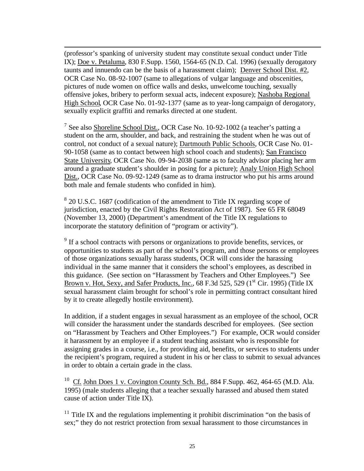l (professor's spanking of university student may constitute sexual conduct under Title IX); Doe v. Petaluma, 830 F.Supp. 1560, 1564-65 (N.D. Cal. 1996) (sexually derogatory taunts and innuendo can be the basis of a harassment claim); Denver School Dist. #2, OCR Case No. 08-92-1007 (same to allegations of vulgar language and obscenities, pictures of nude women on office walls and desks, unwelcome touching, sexually offensive jokes, bribery to perform sexual acts, indecent exposure); Nashoba Regional High School, OCR Case No. 01-92-1377 (same as to year-long campaign of derogatory, sexually explicit graffiti and remarks directed at one student.

<sup>7</sup> See also Shoreline School Dist., OCR Case No. 10-92-1002 (a teacher's patting a student on the arm, shoulder, and back, and restraining the student when he was out of control, not conduct of a sexual nature); Dartmouth Public Schools, OCR Case No. 01- 90-1058 (same as to contact between high school coach and students); San Francisco State University, OCR Case No. 09-94-2038 (same as to faculty advisor placing her arm around a graduate student's shoulder in posing for a picture); Analy Union High School Dist., OCR Case No. 09-92-1249 (same as to drama instructor who put his arms around both male and female students who confided in him).

<sup>8</sup> 20 U.S.C. 1687 (codification of the amendment to Title IX regarding scope of jurisdiction, enacted by the Civil Rights Restoration Act of 1987). See 65 FR 68049 (November 13, 2000) (Department's amendment of the Title IX regulations to incorporate the statutory definition of "program or activity").

<sup>9</sup> If a school contracts with persons or organizations to provide benefits, services, or opportunities to students as part of the school's program, and those persons or employees of those organizations sexually harass students, OCR will consider the harassing individual in the same manner that it considers the school's employees, as described in this guidance. (See section on "Harassment by Teachers and Other Employees.") See Brown v. Hot, Sexy, and Safer Products, Inc., 68 F.3d 525, 529 ( $1<sup>st</sup>$  Cir. 1995) (Title IX sexual harassment claim brought for school's role in permitting contract consultant hired by it to create allegedly hostile environment).

In addition, if a student engages in sexual harassment as an employee of the school, OCR will consider the harassment under the standards described for employees. (See section on "Harassment by Teachers and Other Employees.") For example, OCR would consider it harassment by an employee if a student teaching assistant who is responsible for assigning grades in a course, i.e., for providing aid, benefits, or services to students under the recipient's program, required a student in his or her class to submit to sexual advances in order to obtain a certain grade in the class.

<sup>10</sup> Cf. John Does 1 v. Covington County Sch. Bd., 884 F.Supp. 462, 464-65 (M.D. Ala. 1995) (male students alleging that a teacher sexually harassed and abused them stated cause of action under Title IX).

<sup>11</sup> Title IX and the regulations implementing it prohibit discrimination "on the basis of sex;" they do not restrict protection from sexual harassment to those circumstances in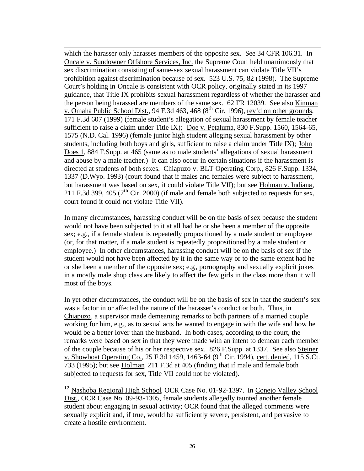l which the harasser only harasses members of the opposite sex. See 34 CFR 106.31. In Oncale v. Sundowner Offshore Services, Inc. the Supreme Court held unanimously that sex discrimination consisting of same-sex sexual harassment can violate Title VII's prohibition against discrimination because of sex. 523 U.S. 75, 82 (1998). The Supreme Court's holding in Oncale is consistent with OCR policy, originally stated in its 1997 guidance, that Title IX prohibits sexual harassment regardless of whether the harasser and the person being harassed are members of the same sex. 62 FR 12039. See also Kinman v. Omaha Public School Dist., 94 F.3d 463, 468 ( $8<sup>th</sup>$  Cir. 1996), rev'd on other grounds, 171 F.3d 607 (1999) (female student's allegation of sexual harassment by female teacher sufficient to raise a claim under Title IX); Doe v. Petaluma, 830 F.Supp. 1560, 1564-65, 1575 (N.D. Cal. 1996) (female junior high student alleging sexual harassment by other students, including both boys and girls, sufficient to raise a claim under Title IX); John Does 1, 884 F.Supp. at 465 (same as to male students' allegations of sexual harassment and abuse by a male teacher.) It can also occur in certain situations if the harassment is directed at students of both sexes. Chiapuzo v. BLT Operating Corp., 826 F.Supp. 1334, 1337 (D.Wyo. 1993) (court found that if males and females were subject to harassment, but harassment was based on sex, it could violate Title VII); but see Holman v. Indiana, 211 F.3d 399, 405 ( $7<sup>th</sup>$  Cir. 2000) (if male and female both subjected to requests for sex, court found it could not violate Title VII).

In many circumstances, harassing conduct will be on the basis of sex because the student would not have been subjected to it at all had he or she been a member of the opposite sex; e.g., if a female student is repeatedly propositioned by a male student or employee (or, for that matter, if a male student is repeatedly propositioned by a male student or employee.) In other circumstances, harassing conduct will be on the basis of sex if the student would not have been affected by it in the same way or to the same extent had he or she been a member of the opposite sex; e.g., pornography and sexually explicit jokes in a mostly male shop class are likely to affect the few girls in the class more than it will most of the boys.

In yet other circumstances, the conduct will be on the basis of sex in that the student's sex was a factor in or affected the nature of the harasser's conduct or both. Thus, in Chiapuzo, a supervisor made demeaning remarks to both partners of a married couple working for him, e.g., as to sexual acts he wanted to engage in with the wife and how he would be a better lover than the husband. In both cases, according to the court, the remarks were based on sex in that they were made with an intent to demean each member of the couple because of his or her respective sex. 826 F.Supp. at 1337. See also Steiner v. Showboat Operating Co., 25 F.3d 1459, 1463-64 (9<sup>th</sup> Cir. 1994), cert. denied, 115 S.Ct. 733 (1995); but see Holman, 211 F.3d at 405 (finding that if male and female both subjected to requests for sex, Title VII could not be violated).

<sup>12</sup> Nashoba Regional High School, OCR Case No. 01-92-1397. In Conejo Valley School Dist., OCR Case No. 09-93-1305, female students allegedly taunted another female student about engaging in sexual activity; OCR found that the alleged comments were sexually explicit and, if true, would be sufficiently severe, persistent, and pervasive to create a hostile environment.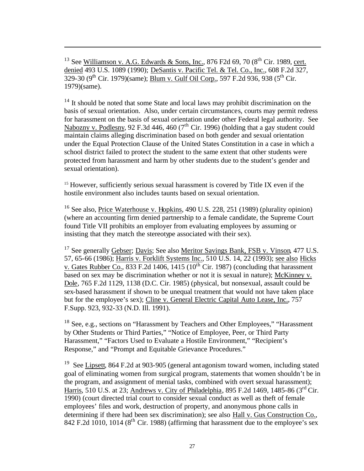<sup>13</sup> See Williamson v. A.G. Edwards & Sons, Inc., 876 F2d 69, 70 ( $8<sup>th</sup>$  Cir. 1989, cert. denied 493 U.S. 1089 (1990); DeSantis v. Pacific Tel. & Tel. Co., Inc., 608 F.2d 327, 329-30 (9<sup>th</sup> Cir. 1979)(same); Blum v. Gulf Oil Corp., 597 F.2d 936, 938 (5<sup>th</sup> Cir. 1979)(same).

l

<sup>14</sup> It should be noted that some State and local laws may prohibit discrimination on the basis of sexual orientation. Also, under certain circumstances, courts may permit redress for harassment on the basis of sexual orientation under other Federal legal authority. See Nabozny v. Podlesny, 92 F.3d 446, 460 ( $7<sup>th</sup>$  Cir. 1996) (holding that a gay student could maintain claims alleging discrimination based on both gender and sexual orientation under the Equal Protection Clause of the United States Constitution in a case in which a school district failed to protect the student to the same extent that other students were protected from harassment and harm by other students due to the student's gender and sexual orientation).

<sup>15</sup> However, sufficiently serious sexual harassment is covered by Title IX even if the hostile environment also includes taunts based on sexual orientation.

<sup>16</sup> See also, Price Waterhouse v. Hopkins, 490 U.S. 228, 251 (1989) (plurality opinion) (where an accounting firm denied partnership to a female candidate, the Supreme Court found Title VII prohibits an employer from evaluating employees by assuming or insisting that they match the stereotype associated with their sex).

 $17$  See generally Gebser; Davis; See also Meritor Savings Bank, FSB v. Vinson, 477 U.S. 57, 65-66 (1986); Harris v. Forklift Systems Inc., 510 U.S. 14, 22 (1993); see also Hicks v. Gates Rubber Co., 833 F.2d 1406,  $1415 (10^{th}$  Cir. 1987) (concluding that harassment based on sex may be discrimination whether or not it is sexual in nature); McKinney v. Dole, 765 F.2d 1129, 1138 (D.C. Cir. 1985) (physical, but nonsexual, assault could be sex-based harassment if shown to be unequal treatment that would not have taken place but for the employee's sex); Cline v. General Electric Capital Auto Lease, Inc., 757 F.Supp. 923, 932-33 (N.D. Ill. 1991).

<sup>18</sup> See, e.g., sections on "Harassment by Teachers and Other Employees," "Harassment" by Other Students or Third Parties," "Notice of Employee, Peer, or Third Party Harassment," "Factors Used to Evaluate a Hostile Environment," "Recipient's Response," and "Prompt and Equitable Grievance Procedures."

<sup>19</sup> See Lipsett, 864 F.2d at 903-905 (general ant agonism toward women, including stated goal of eliminating women from surgical program, statements that women shouldn't be in the program, and assignment of menial tasks, combined with overt sexual harassment); Harris, 510 U.S. at 23; Andrews v. City of Philadelphia, 895 F.2d 1469, 1485-86 (3<sup>rd</sup> Cir. 1990) (court directed trial court to consider sexual conduct as well as theft of female employees' files and work, destruction of property, and anonymous phone calls in determining if there had been sex discrimination); see also Hall v. Gus Construction Co., 842 F.2d 1010, 1014 ( $8<sup>th</sup>$  Cir. 1988) (affirming that harassment due to the employee's sex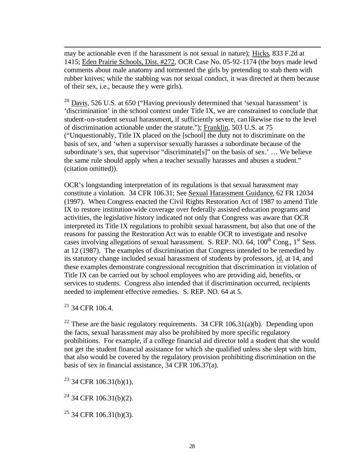may be actionable even if the harassment is not sexual in nature); Hicks, 833 F.2d at 1415; Eden Prairie Schools, Dist. #272, OCR Case No. 05-92-1174 (the boys made lewd comments about male anatomy and tormented the girls by pretending to stab them with rubber knives; while the stabbing was not sexual conduct, it was directed at them because of their sex, i.e., because they were girls).

 $^{20}$  Davis, 526 U.S. at 650 ("Having previously determined that 'sexual harassment' is 'discrimination' in the school context under Title IX, we are constrained to conclude that student-on-student sexual harassment, if sufficiently severe, can likewise rise to the level of discrimination actionable under the statute."); Franklin, 503 U.S. at 75 ("Unquestionably, Title IX placed on the [school] the duty not to discriminate on the basis of sex, and 'when a supervisor sexually harasses a subordinate because of the subordinate's sex, that supervisor "discriminate[s]" on the basis of sex.' … We believe the same rule should apply when a teacher sexually harasses and abuses a student." (citation omitted)).

OCR's longstanding interpretation of its regulations is that sexual harassment may constitute a violation. 34 CFR 106.31; See Sexual Harassment Guidance, 62 FR 12034 (1997). When Congress enacted the Civil Rights Restoration Act of 1987 to amend Title IX to restore institution-wide coverage over federally assisted education programs and activities, the legislative history indicated not only that Congress was aware that OCR interpreted its Title IX regulations to prohibit sexual harassment, but also that one of the reasons for passing the Restoration Act was to enable OCR to investigate and resolve cases involving allegations of sexual harassment. S. REP. NO. 64,  $100<sup>th</sup>$  Cong.,  $1<sup>st</sup>$  Sess. at 12 (1987). The examples of discrimination that Congress intended to be remedied by its statutory change included sexual harassment of students by professors, id. at 14, and these examples demonstrate congressional recognition that discrimination in violation of Title IX can be carried out by school employees who are providing aid, benefits, or services to students. Congress also intended that if discrimination occurred, recipients needed to implement effective remedies. S. REP. NO. 64 at 5.

<sup>21</sup> 34 CFR 106.4.

l

<sup>22</sup> These are the basic regulatory requirements. 34 CFR 106.31(a)(b). Depending upon the facts, sexual harassment may also be prohibited by more specific regulatory prohibitions. For example, if a college financial aid director told a student that she would not get the student financial assistance for which she qualified unless she slept with him, that also would be covered by the regulatory provision prohibiting discrimination on the basis of sex in financial assistance, 34 CFR 106.37(a).

 $23$  34 CFR 106.31(b)(1).

 $24$  34 CFR 106.31(b)(2).

 $25$  34 CFR 106.31(b)(3).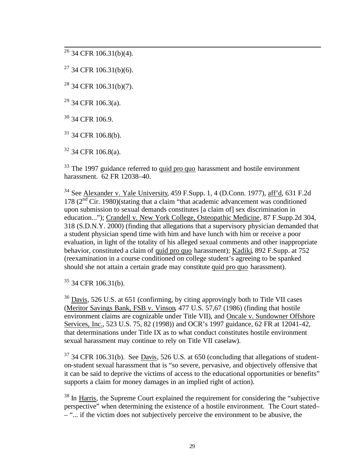$26$  34 CFR 106.31(b)(4).

l

 $27$  34 CFR 106.31(b)(6).

 $28$  34 CFR 106.31(b)(7).

 $29$  34 CFR 106.3(a).

 $30$  34 CFR 106.9.

 $31$  34 CFR 106.8(b).

<sup>32</sup> 34 CFR 106.8(a).

<sup>33</sup> The 1997 guidance referred to quid pro quo harassment and hostile environment harassment. 62 FR 12038–40.

<sup>34</sup> See Alexander v. Yale University, 459 F.Supp. 1, 4 (D.Conn. 1977), aff'd, 631 F.2d 178 (2<sup>nd</sup> Cir. 1980)(stating that a claim "that academic advancement was conditioned upon submission to sexual demands constitutes [a claim of] sex discrimination in education..."); Crandell v. New York College, Osteopathic Medicine, 87 F.Supp.2d 304, 318 (S.D.N.Y. 2000) (finding that allegations that a supervisory physician demanded that a student physician spend time with him and have lunch with him or receive a poor evaluation, in light of the totality of his alleged sexual comments and other inappropriate behavior, constituted a claim of quid pro quo harassment); Kadiki, 892 F.Supp. at 752 (reexamination in a course conditioned on college student's agreeing to be spanked should she not attain a certain grade may constitute quid pro quo harassment).

 $35$  34 CFR 106.31(b).

<sup>36</sup> Davis, 526 U.S. at 651 (confirming, by citing approvingly both to Title VII cases (Meritor Savings Bank, FSB v. Vinson, 477 U.S. 57,67 (1986) (finding that hostile environment claims are cognizable under Title VII), and Oncale v. Sundowner Offshore Services, Inc., 523 U.S. 75, 82 (1998)) and OCR's 1997 guidance, 62 FR at 12041-42, that determinations under Title IX as to what conduct constitutes hostile environment sexual harassment may continue to rely on Title VII caselaw).

 $37$  34 CFR 106.31(b). See Davis, 526 U.S. at 650 (concluding that allegations of studenton-student sexual harassment that is "so severe, pervasive, and objectively offensive that it can be said to deprive the victims of access to the educational opportunities or benefits" supports a claim for money damages in an implied right of action).

<sup>38</sup> In Harris, the Supreme Court explained the requirement for considering the "subjective" perspective" when determining the existence of a hostile environment. The Court stated– – "... if the victim does not subjectively perceive the environment to be abusive, the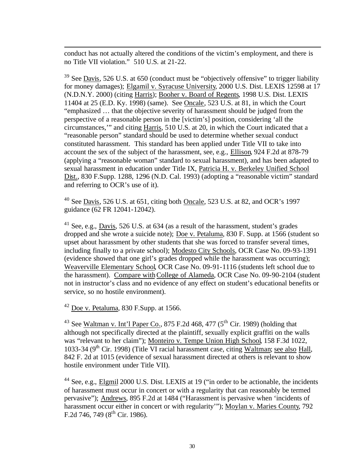conduct has not actually altered the conditions of the victim's employment, and there is no Title VII violation." 510 U.S. at 21-22.

 $39$  See Davis, 526 U.S. at 650 (conduct must be "objectively offensive" to trigger liability for money damages); Elgamil v. Syracuse University, 2000 U.S. Dist. LEXIS 12598 at 17 (N.D.N.Y. 2000) (citing Harris); Booher v. Board of Regents, 1998 U.S. Dist. LEXIS 11404 at 25 (E.D. Ky. 1998) (same). See Oncale, 523 U.S. at 81, in which the Court "emphasized … that the objective severity of harassment should be judged from the perspective of a reasonable person in the [victim's] position, considering 'all the circumstances,'" and citing Harris, 510 U.S. at 20, in which the Court indicated that a "reasonable person" standard should be used to determine whether sexual conduct constituted harassment. This standard has been applied under Title VII to take into account the sex of the subject of the harassment, see, e.g., Ellison, 924 F.2d at 878-79 (applying a "reasonable woman" standard to sexual harassment), and has been adapted to sexual harassment in education under Title IX, Patricia H. v. Berkeley Unified School Dist., 830 F.Supp. 1288, 1296 (N.D. Cal. 1993) (adopting a "reasonable victim" standard and referring to OCR's use of it).

<sup>40</sup> See Davis, 526 U.S. at 651, citing both Oncale, 523 U.S. at 82, and OCR's 1997 guidance (62 FR 12041-12042).

 $41$  See, e.g., Davis, 526 U.S. at 634 (as a result of the harassment, student's grades dropped and she wrote a suicide note); Doe v. Petaluma, 830 F. Supp. at 1566 (student so upset about harassment by other students that she was forced to transfer several times, including finally to a private school); Modesto City Schools, OCR Case No. 09-93-1391 (evidence showed that one girl's grades dropped while the harassment was occurring); Weaverville Elementary School, OCR Case No. 09-91-1116 (students left school due to the harassment). Compare withCollege of Alameda, OCR Case No. 09-90-2104 (student not in instructor's class and no evidence of any effect on student's educational benefits or service, so no hostile environment).

 $42$  Doe v. Petaluma, 830 F. Supp. at 1566.

l

<sup>43</sup> See Waltman v. Int'l Paper Co., 875 F.2d 468, 477 ( $5<sup>th</sup>$  Cir. 1989) (holding that although not specifically directed at the plaintiff, sexually explicit graffiti on the walls was "relevant to her claim"); Monteiro v. Tempe Union High School, 158 F.3d 1022, 1033-34 ( $9<sup>th</sup>$  Cir. 1998) (Title VI racial harassment case, citing Waltman; see also Hall, 842 F. 2d at 1015 (evidence of sexual harassment directed at others is relevant to show hostile environment under Title VII).

<sup>44</sup> See, e.g., Elgmil 2000 U.S. Dist. LEXIS at 19 ("in order to be actionable, the incidents of harassment must occur in concert or with a regularity that can reasonably be termed pervasive"); Andrews, 895 F.2d at 1484 ("Harassment is pervasive when 'incidents of harassment occur either in concert or with regularity'"); Moylan v. Maries County, 792 F.2d 746, 749 ( $8^{th}$  Cir. 1986).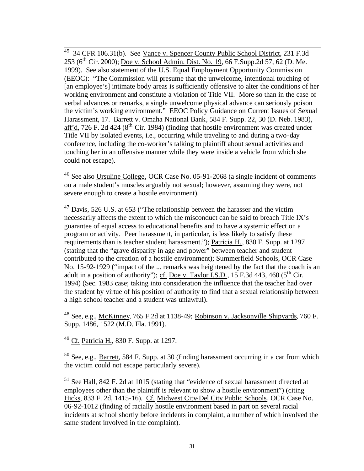l <sup>45</sup> 34 CFR 106.31(b). See <u>Vance v. Spencer County Public School District</u>, 231 F.3d 253 (6th Cir. 2000); Doe v. School Admin. Dist. No. 19, 66 F.Supp.2d 57, 62 (D. Me. 1999). See also statement of the U.S. Equal Employment Opportunity Commission (EEOC): "The Commission will presume that the unwelcome, intentional touching of [an employee's] intimate body areas is sufficiently offensive to alter the conditions of her working environment and constitute a violation of Title VII. More so than in the case of verbal advances or remarks, a single unwelcome physical advance can seriously poison the victim's working environment." EEOC Policy Guidance on Current Issues of Sexual Harassment, 17. Barrett v. Omaha National Bank, 584 F. Supp. 22, 30 (D. Neb. 1983), aff'd, 726 F. 2d  $4\overline{24}$  ( $8^{\text{th}}$  Cir. 1984) (finding that hostile environment was created under Title VII by isolated events, i.e., occurring while traveling to and during a two-day conference, including the co-worker's talking to plaintiff about sexual activities and touching her in an offensive manner while they were inside a vehicle from which she could not escape).

<sup>46</sup> See also Ursuline College, OCR Case No. 05-91-2068 (a single incident of comments on a male student's muscles arguably not sexual; however, assuming they were, not severe enough to create a hostile environment).

 $47$  Davis, 526 U.S. at 653 ("The relationship between the harasser and the victim necessarily affects the extent to which the misconduct can be said to breach Title IX's guarantee of equal access to educational benefits and to have a systemic effect on a program or activity. Peer harassment, in particular, is less likely to satisfy these requirements than is teacher student harassment."); Patricia H., 830 F. Supp. at 1297 (stating that the "grave disparity in age and power" between teacher and student contributed to the creation of a hostile environment); Summerfield Schools, OCR Case No. 15-92-1929 ("impact of the ... remarks was heightened by the fact that the coach is an adult in a position of authority"); cf. Doe v. Taylor I.S.D.,  $15$  F.3d 443, 460 ( $5<sup>th</sup>$  Cir. 1994) (Sec. 1983 case; taking into consideration the influence that the teacher had over the student by virtue of his position of authority to find that a sexual relationship between a high school teacher and a student was unlawful).

<sup>48</sup> See, e.g., McKinney, 765 F.2d at 1138-49; Robinson v. Jacksonville Shipyards, 760 F. Supp. 1486, 1522 (M.D. Fla. 1991).

<sup>49</sup> Cf. Patricia H., 830 F. Supp. at 1297.

<sup>50</sup> See, e.g., Barrett, 584 F. Supp. at 30 (finding harassment occurring in a car from which the victim could not escape particularly severe).

<sup>51</sup> See Hall, 842 F. 2d at 1015 (stating that "evidence of sexual harassment directed at employees other than the plaintiff is relevant to show a hostile environment") (citing Hicks, 833 F. 2d, 1415-16). Cf. Midwest City-Del City Public Schools, OCR Case No. 06-92-1012 (finding of racially hostile environment based in part on several racial incidents at school shortly before incidents in complaint, a number of which involved the same student involved in the complaint).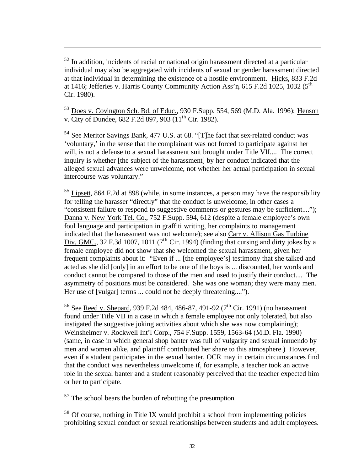$52$  In addition, incidents of racial or national origin harassment directed at a particular individual may also be aggregated with incidents of sexual or gender harassment directed at that individual in determining the existence of a hostile environment. Hicks, 833 F.2d at 1416; Jefferies v. Harris County Community Action Ass'n, 615 F.2d 1025, 1032 (5th Cir. 1980).

l

<sup>53</sup> Does v. Covington Sch. Bd. of Educ., 930 F.Supp. 554, 569 (M.D. Ala. 1996); Henson v. City of Dundee, 682 F.2d 897, 903 (11<sup>th</sup> Cir. 1982).

<sup>54</sup> See Meritor Savings Bank, 477 U.S. at 68. "[T]he fact that sex-related conduct was 'voluntary,' in the sense that the complainant was not forced to participate against her will, is not a defense to a sexual harassment suit brought under Title VII.... The correct inquiry is whether [the subject of the harassment] by her conduct indicated that the alleged sexual advances were unwelcome, not whether her actual participation in sexual intercourse was voluntary."

<sup>55</sup> Lipsett, 864 F.2d at 898 (while, in some instances, a person may have the responsibility for telling the harasser "directly" that the conduct is unwelcome, in other cases a "consistent failure to respond to suggestive comments or gestures may be sufficient...."); Danna v. New York Tel. Co., 752 F.Supp. 594, 612 (despite a female employee's own foul language and participation in graffiti writing, her complaints to management indicated that the harassment was not welcome); see also Carr v. Allison Gas Turbine Div. GMC., 32 F.3d 1007, 1011 ( $7<sup>th</sup>$  Cir. 1994) (finding that cursing and dirty jokes by a female employee did not show that she welcomed the sexual harassment, given her frequent complaints about it: "Even if ... [the employee's] testimony that she talked and acted as she did [only] in an effort to be one of the boys is ... discounted, her words and conduct cannot be compared to those of the men and used to justify their conduct.... The asymmetry of positions must be considered. She was one woman; they were many men. Her use of [vulgar] terms ... could not be deeply threatening....").

<sup>56</sup> See Reed v. Shepard, 939 F.2d 484, 486-87, 491-92 (7<sup>th</sup> Cir. 1991) (no harassment found under Title VII in a case in which a female employee not only tolerated, but also instigated the suggestive joking activities about which she was now complaining); Weinsheimer v. Rockwell Int'l Corp., 754 F.Supp. 1559, 1563-64 (M.D. Fla. 1990) (same, in case in which general shop banter was full of vulgarity and sexual innuendo by men and women alike, and plaintiff contributed her share to this atmosphere.) However, even if a student participates in the sexual banter, OCR may in certain circumstances find that the conduct was nevertheless unwelcome if, for example, a teacher took an active role in the sexual banter and a student reasonably perceived that the teacher expected him or her to participate.

<sup>57</sup> The school bears the burden of rebutting the presumption.

<sup>58</sup> Of course, nothing in Title IX would prohibit a school from implementing policies prohibiting sexual conduct or sexual relationships between students and adult employees.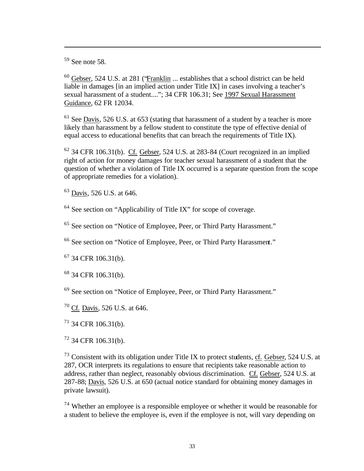$59$  See note 58.

l

<sup>60</sup> Gebser, 524 U.S. at 281 ("Franklin ... establishes that a school district can be held liable in damages [in an implied action under Title IX] in cases involving a teacher's sexual harassment of a student...."; 34 CFR 106.31; See 1997 Sexual Harassment Guidance, 62 FR 12034.

 $61$  See Davis, 526 U.S. at 653 (stating that harassment of a student by a teacher is more likely than harassment by a fellow student to constitute the type of effective denial of equal access to educational benefits that can breach the requirements of Title IX).

 $62$  34 CFR 106.31(b). Cf. Gebser, 524 U.S. at 283-84 (Court recognized in an implied right of action for money damages for teacher sexual harassment of a student that the question of whether a violation of Title IX occurred is a separate question from the scope of appropriate remedies for a violation).

<sup>63</sup> Davis, 526 U.S. at 646.

 $64$  See section on "Applicability of Title IX" for scope of coverage.

<sup>65</sup> See section on "Notice of Employee, Peer, or Third Party Harassment."

<sup>66</sup> See section on "Notice of Employee, Peer, or Third Party Harassment."

 $67$  34 CFR 106.31(b).

<sup>68</sup> 34 CFR 106.31(b).

<sup>69</sup> See section on "Notice of Employee, Peer, or Third Party Harassment."

<sup>70</sup> Cf. Davis, 526 U.S. at 646.

 $71$  34 CFR 106.31(b).

 $72$  34 CFR 106.31(b).

 $^{73}$  Consistent with its obligation under Title IX to protect students, cf. Gebser, 524 U.S. at 287, OCR interprets its regulations to ensure that recipients take reasonable action to address, rather than neglect, reasonably obvious discrimination. Cf. Gebser, 524 U.S. at 287-88; Davis, 526 U.S. at 650 (actual notice standard for obtaining money damages in private lawsuit).

<sup>74</sup> Whether an employee is a responsible employee or whether it would be reasonable for a student to believe the employee is, even if the employee is not, will vary depending on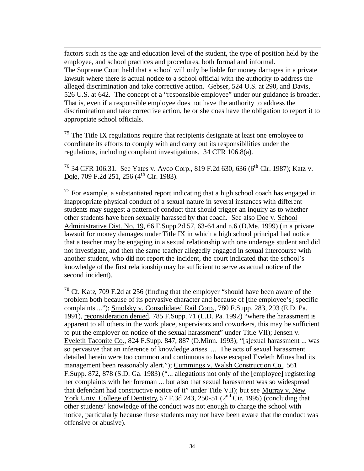l factors such as the age and education level of the student, the type of position held by the employee, and school practices and procedures, both formal and informal. The Supreme Court held that a school will only be liable for money damages in a private lawsuit where there is actual notice to a school official with the authority to address the alleged discrimination and take corrective action. Gebser, 524 U.S. at 290, and Davis, 526 U.S. at 642. The concept of a "responsible employee" under our guidance is broader. That is, even if a responsible employee does not have the authority to address the discrimination and take corrective action, he or she does have the obligation to report it to appropriate school officials.

 $75$  The Title IX regulations require that recipients designate at least one employee to coordinate its efforts to comply with and carry out its responsibilities under the regulations, including complaint investigations. 34 CFR 106.8(a).

<sup>76</sup> 34 CFR 106.31. See Yates v. Avco Corp., 819 F.2d 630, 636 (6<sup>th</sup> Cir. 1987); Katz v. Dole, 709 F.2d 251, 256 (4<sup>th</sup> Cir. 1983).

 $77$  For example, a substantiated report indicating that a high school coach has engaged in inappropriate physical conduct of a sexual nature in several instances with different students may suggest a pattern of conduct that should trigger an inquiry as to whether other students have been sexually harassed by that coach. See also Doe v. School Administrative Dist. No. 19, 66 F.Supp.2d 57, 63-64 and n.6 (D.Me. 1999) (in a private lawsuit for money damages under Title IX in which a high school principal had notice that a teacher may be engaging in a sexual relationship with one underage student and did not investigate, and then the same teacher allegedly engaged in sexual intercourse with another student, who did not report the incident, the court indicated that the school's knowledge of the first relationship may be sufficient to serve as actual notice of the second incident).

<sup>78</sup> Cf. Katz, 709 F.2d at 256 (finding that the employer "should have been aware of the problem both because of its pervasive character and because of [the employee's] specific complaints ..."); Smolsky v. Consolidated Rail Corp., 780 F.Supp. 283, 293 (E.D. Pa. 1991), reconsideration denied, 785 F.Supp. 71 (E.D. Pa. 1992) "where the harassment is apparent to all others in the work place, supervisors and coworkers, this may be sufficient to put the employer on notice of the sexual harassment" under Title VII); Jensen v. Eveleth Taconite Co., 824 F.Supp. 847, 887 (D.Minn. 1993); "[s]exual harassment ... was so pervasive that an inference of knowledge arises .... The acts of sexual harassment detailed herein were too common and continuous to have escaped Eveleth Mines had its management been reasonably alert."); Cummings v. Walsh Construction Co., 561 F.Supp. 872, 878 (S.D. Ga. 1983) ("... allegations not only of the [employee] registering her complaints with her foreman ... but also that sexual harassment was so widespread that defendant had constructive notice of it" under Title VII); but see Murray v. New York Univ. College of Dentistry, 57 F.3d 243, 250-51 ( $2<sup>nd</sup>$  Cir. 1995) (concluding that other students' knowledge of the conduct was not enough to charge the school with notice, particularly because these students may not have been aware that the conduct was offensive or abusive).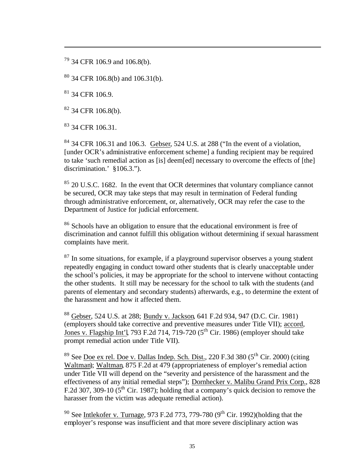$79$  34 CFR 106.9 and 106.8(b).

 $80$  34 CFR 106.8(b) and 106.31(b).

<sup>81</sup> 34 CFR 106.9.

l

 $82$  34 CFR 106.8(b).

<sup>83</sup> 34 CFR 106.31.

<sup>84</sup> 34 CFR 106.31 and 106.3. Gebser, 524 U.S. at 288 ("In the event of a violation, [under OCR's administrative enforcement scheme] a funding recipient may be required to take 'such remedial action as [is] deem[ed] necessary to overcome the effects of [the] discrimination.' §106.3.").

<sup>85</sup> 20 U.S.C. 1682. In the event that OCR determines that voluntary compliance cannot be secured, OCR may take steps that may result in termination of Federal funding through administrative enforcement, or, alternatively, OCR may refer the case to the Department of Justice for judicial enforcement.

<sup>86</sup> Schools have an obligation to ensure that the educational environment is free of discrimination and cannot fulfill this obligation without determining if sexual harassment complaints have merit.

 $87$  In some situations, for example, if a playground supervisor observes a young student repeatedly engaging in conduct toward other students that is clearly unacceptable under the school's policies, it may be appropriate for the school to intervene without contacting the other students. It still may be necessary for the school to talk with the students (and parents of elementary and secondary students) afterwards, e.g., to determine the extent of the harassment and how it affected them.

<sup>88</sup> Gebser, 524 U.S. at 288; Bundy v. Jackson, 641 F.2d 934, 947 (D.C. Cir. 1981) (employers should take corrective and preventive measures under Title VII); accord, Jones v. Flagship Int'l, 793 F.2d 714, 719-720  $(5^{th}$  Cir. 1986) (employer should take prompt remedial action under Title VII).

<sup>89</sup> See Doe ex rel. Doe v. Dallas Indep. Sch. Dist., 220 F.3d 380 ( $5<sup>th</sup>$  Cir. 2000) (citing Waltman); Waltman, 875 F.2d at 479 (appropriateness of employer's remedial action under Title VII will depend on the "severity and persistence of the harassment and the effectiveness of any initial remedial steps"); Dornhecker v. Malibu Grand Prix Corp., 828 F.2d 307, 309-10 ( $5<sup>th</sup>$  Cir. 1987); holding that a company's quick decision to remove the harasser from the victim was adequate remedial action).

<sup>90</sup> See Intlekofer v. Turnage, 973 F.2d 773, 779-780 (9<sup>th</sup> Cir. 1992)(holding that the employer's response was insufficient and that more severe disciplinary action was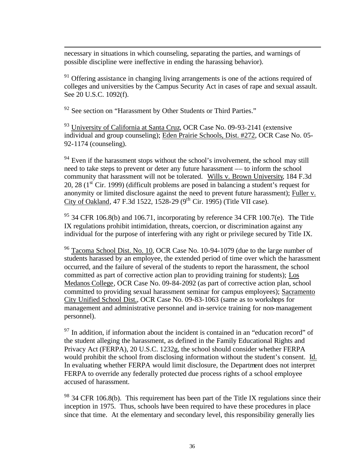necessary in situations in which counseling, separating the parties, and warnings of possible discipline were ineffective in ending the harassing behavior).

 $91$  Offering assistance in changing living arrangements is one of the actions required of colleges and universities by the Campus Security Act in cases of rape and sexual assault. See 20 U.S.C. 1092(f).

<sup>92</sup> See section on "Harassment by Other Students or Third Parties."

l

<sup>93</sup> University of California at Santa Cruz, OCR Case No. 09-93-2141 (extensive individual and group counseling); Eden Prairie Schools, Dist. #272, OCR Case No. 05- 92-1174 (counseling).

 $94$  Even if the harassment stops without the school's involvement, the school may still need to take steps to prevent or deter any future harassment –– to inform the school community that harassment will not be tolerated. Wills v. Brown University, 184 F.3d 20, 28 ( $1<sup>st</sup>$  Cir. 1999) (difficult problems are posed in balancing a student's request for anonymity or limited disclosure against the need to prevent future harassment); Fuller v. City of Oakland, 47 F.3d 1522, 1528-29 ( $9^{th}$  Cir. 1995) (Title VII case).

 $95$  34 CFR 106.8(b) and 106.71, incorporating by reference 34 CFR 100.7(e). The Title IX regulations prohibit intimidation, threats, coercion, or discrimination against any individual for the purpose of interfering with any right or privilege secured by Title IX.

<sup>96</sup> Tacoma School Dist. No. 10, OCR Case No. 10-94-1079 (due to the large number of students harassed by an employee, the extended period of time over which the harassment occurred, and the failure of several of the students to report the harassment, the school committed as part of corrective action plan to providing training for students); Los Medanos College, OCR Case No. 09-84-2092 (as part of corrective action plan, school committed to providing sexual harassment seminar for campus employees); Sacramento City Unified School Dist., OCR Case No. 09-83-1063 (same as to workshops for management and administrative personnel and in-service training for non-management personnel).

 $97$  In addition, if information about the incident is contained in an "education record" of the student alleging the harassment, as defined in the Family Educational Rights and Privacy Act (FERPA), 20 U.S.C. 1232g, the school should consider whether FERPA would prohibit the school from disclosing information without the student's consent. Id. In evaluating whether FERPA would limit disclosure, the Department does not interpret FERPA to override any federally protected due process rights of a school employee accused of harassment.

 $98$  34 CFR 106.8(b). This requirement has been part of the Title IX regulations since their inception in 1975. Thus, schools have been required to have these procedures in place since that time. At the elementary and secondary level, this responsibility generally lies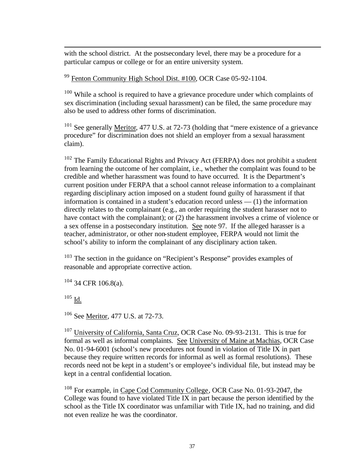with the school district. At the postsecondary level, there may be a procedure for a particular campus or college or for an entire university system.

<sup>99</sup> Fenton Community High School Dist. #100, OCR Case 05-92-1104.

<sup>100</sup> While a school is required to have a grievance procedure under which complaints of sex discrimination (including sexual harassment) can be filed, the same procedure may also be used to address other forms of discrimination.

<sup>101</sup> See generally Meritor, 477 U.S. at 72-73 (holding that "mere existence of a grievance" procedure" for discrimination does not shield an employer from a sexual harassment claim).

<sup>102</sup> The Family Educational Rights and Privacy Act (FERPA) does not prohibit a student from learning the outcome of her complaint, i.e., whether the complaint was found to be credible and whether harassment was found to have occurred. It is the Department's current position under FERPA that a school cannot release information to a complainant regarding disciplinary action imposed on a student found guilty of harassment if that information is contained in a student's education record unless  $-$  (1) the information directly relates to the complainant (e.g., an order requiring the student harasser not to have contact with the complainant); or (2) the harassment involves a crime of violence or a sex offense in a postsecondary institution. See note 97. If the alleged harasser is a teacher, administrator, or other non-student employee, FERPA would not limit the school's ability to inform the complainant of any disciplinary action taken.

<sup>103</sup> The section in the guidance on "Recipient's Response" provides examples of reasonable and appropriate corrective action.

<sup>104</sup> 34 CFR 106.8(a).

 $105 \underline{\underline{Id}}$ .

l

<sup>106</sup> See Meritor, 477 U.S. at 72-73.

<sup>107</sup> University of California, Santa Cruz, OCR Case No. 09-93-2131. This is true for formal as well as informal complaints. See University of Maine at Machias, OCR Case No. 01-94-6001 (school's new procedures not found in violation of Title IX in part because they require written records for informal as well as formal resolutions). These records need not be kept in a student's or employee's individual file, but instead may be kept in a central confidential location.

<sup>108</sup> For example, in Cape Cod Community College, OCR Case No. 01-93-2047, the College was found to have violated Title IX in part because the person identified by the school as the Title IX coordinator was unfamiliar with Title IX, had no training, and did not even realize he was the coordinator.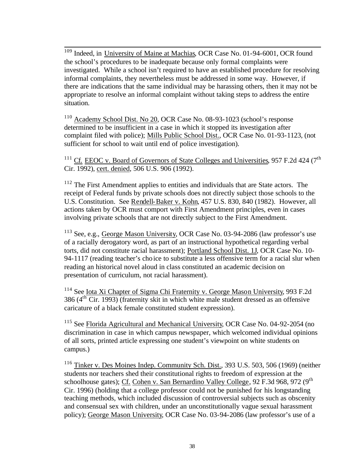l <sup>109</sup> Indeed, in University of Maine at Machias, OCR Case No. 01-94-6001, OCR found the school's procedures to be inadequate because only formal complaints were investigated. While a school isn't required to have an established procedure for resolving informal complaints, they nevertheless must be addressed in some way. However, if there are indications that the same individual may be harassing others, then it may not be appropriate to resolve an informal complaint without taking steps to address the entire situation.

<sup>110</sup> Academy School Dist. No 20, OCR Case No. 08-93-1023 (school's response determined to be insufficient in a case in which it stopped its investigation after complaint filed with police); Mills Public School Dist., OCR Case No. 01-93-1123, (not sufficient for school to wait until end of police investigation).

<sup>111</sup> Cf. EEOC v. Board of Governors of State Colleges and Universities, 957 F.2d 424 (7<sup>th</sup>) Cir. 1992), cert. denied, 506 U.S. 906 (1992).

<sup>112</sup> The First Amendment applies to entities and individuals that are State actors. The receipt of Federal funds by private schools does not directly subject those schools to the U.S. Constitution. See Rendell-Baker v. Kohn, 457 U.S. 830, 840 (1982). However, all actions taken by OCR must comport with First Amendment principles, even in cases involving private schools that are not directly subject to the First Amendment.

<sup>113</sup> See, e.g., George Mason University, OCR Case No. 03-94-2086 (law professor's use of a racially derogatory word, as part of an instructional hypothetical regarding verbal torts, did not constitute racial harassment); Portland School Dist. 1J, OCR Case No. 10- 94-1117 (reading teacher's choice to substitute a less offensive term for a racial slur when reading an historical novel aloud in class constituted an academic decision on presentation of curriculum, not racial harassment).

<sup>114</sup> See Iota Xi Chapter of Sigma Chi Fraternity v. George Mason University, 993 F.2d 386 (4th Cir. 1993) (fraternity skit in which white male student dressed as an offensive caricature of a black female constituted student expression).

<sup>115</sup> See Florida Agricultural and Mechanical University, OCR Case No. 04-92-2054 (no discrimination in case in which campus newspaper, which welcomed individual opinions of all sorts, printed article expressing one student's viewpoint on white students on campus.)

<sup>116</sup> Tinker v. Des Moines Indep. Community Sch. Dist., 393 U.S. 503, 506 (1969) (neither students nor teachers shed their constitutional rights to freedom of expression at the schoolhouse gates); Cf. Cohen v. San Bernardino Valley College, 92 F.3d 968, 972 (9<sup>th</sup> Cir. 1996) (holding that a college professor could not be punished for his longstanding teaching methods, which included discussion of controversial subjects such as obscenity and consensual sex with children, under an unconstitutionally vague sexual harassment policy); George Mason University, OCR Case No. 03-94-2086 (law professor's use of a